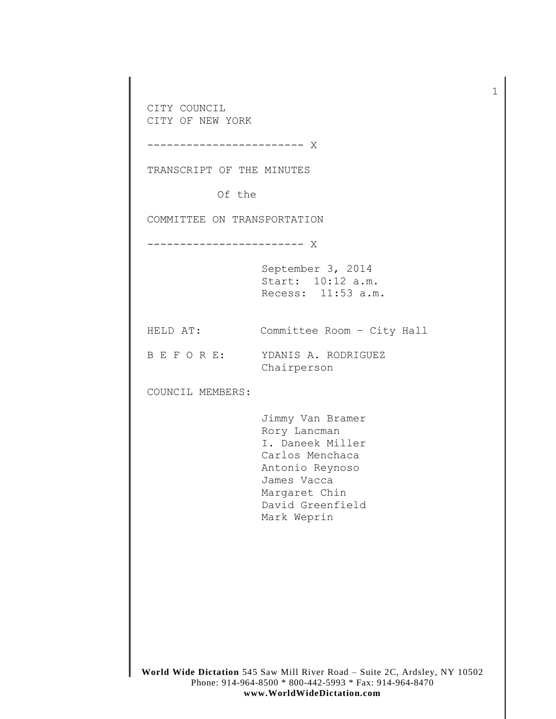CITY COUNCIL CITY OF NEW YORK ------------------------ X

TRANSCRIPT OF THE MINUTES

Of the

COMMITTEE ON TRANSPORTATION

------------------------ X

September 3, 2014 Start: 10:12 a.m. Recess: 11:53 a.m.

HELD AT: Committee Room – City Hall

B E F O R E: YDANIS A. RODRIGUEZ Chairperson

COUNCIL MEMBERS:

Jimmy Van Bramer Rory Lancman I. Daneek Miller Carlos Menchaca Antonio Reynoso James Vacca Margaret Chin David Greenfield Mark Weprin

1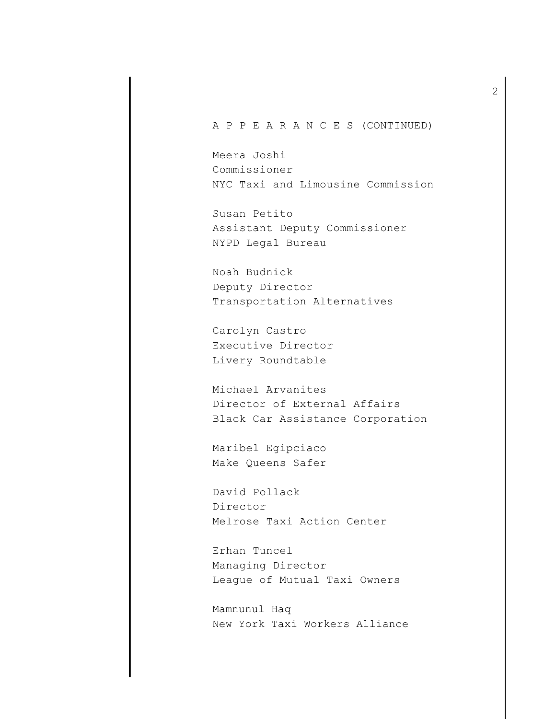A P P E A R A N C E S (CONTINUED)

Meera Joshi Commissioner NYC Taxi and Limousine Commission

Susan Petito Assistant Deputy Commissioner NYPD Legal Bureau

Noah Budnick Deputy Director Transportation Alternatives

Carolyn Castro Executive Director Livery Roundtable

Michael Arvanites Director of External Affairs Black Car Assistance Corporation

Maribel Egipciaco Make Queens Safer

David Pollack Director Melrose Taxi Action Center

Erhan Tuncel Managing Director League of Mutual Taxi Owners

Mamnunul Haq New York Taxi Workers Alliance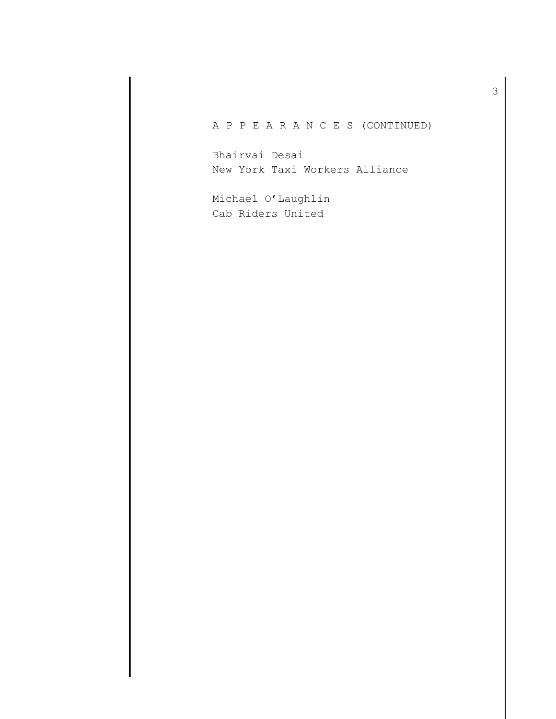A P P E A R A N C E S (CONTINUED)

Bhairvai Desai New York Taxi Workers Alliance

Michael O'Laughlin Cab Riders United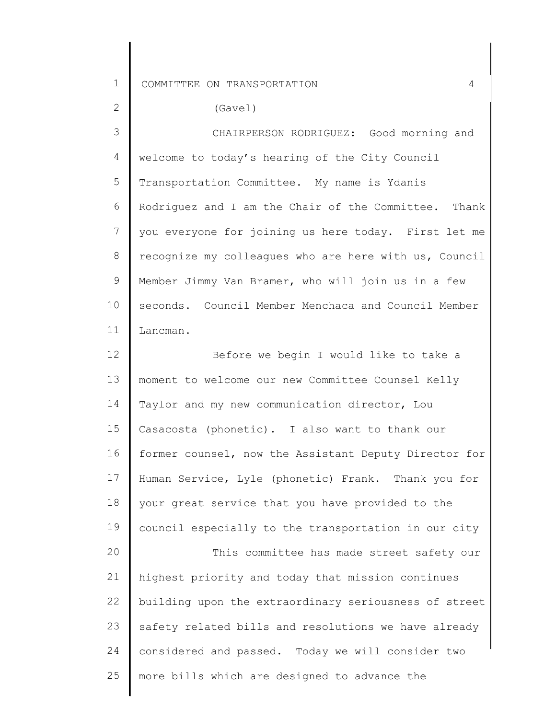2

(Gavel)

3 4 5 6 7 8 9 10 11 welcome to today's hearing of the City Council CHAIRPERSON RODRIGUEZ: Good morning and Transportation Committee. My name is Ydanis Rodriguez and I am the Chair of the Committee. Thank you everyone for joining us here today. First let me recognize my colleagues who are here with us, Council Member Jimmy Van Bramer, who will join us in a few seconds. Council Member Menchaca and Council Member Lancman.

12 13 14 15 16 17 18 19 20 21 22 23 24 25 Before we begin I would like to take a moment to welcome our new Committee Counsel Kelly Taylor and my new communication director, Lou Casacosta (phonetic). I also want to thank our former counsel, now the Assistant Deputy Director for Human Service, Lyle (phonetic) Frank. Thank you for your great service that you have provided to the council especially to the transportation in our city This committee has made street safety our highest priority and today that mission continues building upon the extraordinary seriousness of street safety related bills and resolutions we have already considered and passed. Today we will consider two more bills which are designed to advance the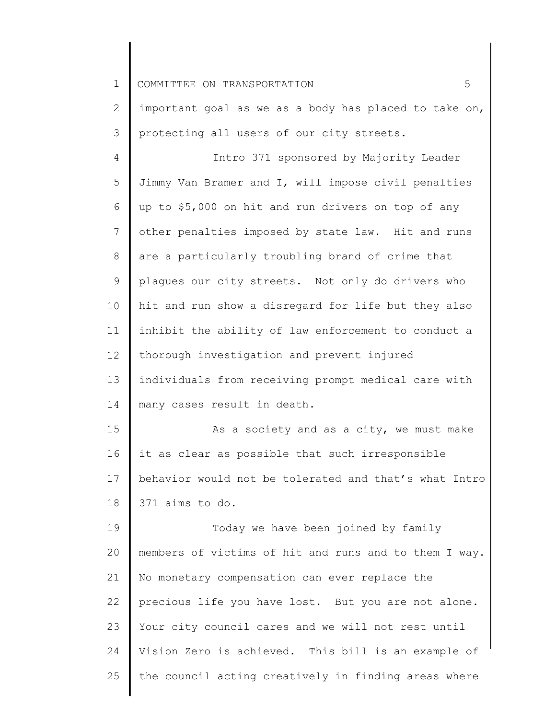| $\mathbf 1$  | 5<br>COMMITTEE ON TRANSPORTATION                      |
|--------------|-------------------------------------------------------|
| $\mathbf{2}$ | important goal as we as a body has placed to take on, |
| 3            | protecting all users of our city streets.             |
| 4            | Intro 371 sponsored by Majority Leader                |
| 5            | Jimmy Van Bramer and I, will impose civil penalties   |
| 6            | up to \$5,000 on hit and run drivers on top of any    |
| 7            | other penalties imposed by state law. Hit and runs    |
| $8\,$        | are a particularly troubling brand of crime that      |
| $\mathsf 9$  | plagues our city streets. Not only do drivers who     |
| 10           | hit and run show a disregard for life but they also   |
| 11           | inhibit the ability of law enforcement to conduct a   |
| 12           | thorough investigation and prevent injured            |
| 13           | individuals from receiving prompt medical care with   |
| 14           | many cases result in death.                           |
| 15           | As a society and as a city, we must make              |
| 16           | it as clear as possible that such irresponsible       |
| 17           | behavior would not be tolerated and that's what Intro |
| 18           | 371 aims to do.                                       |
| 19           | Today we have been joined by family                   |
| 20           | members of victims of hit and runs and to them I way. |
| 21           | No monetary compensation can ever replace the         |
| 22           | precious life you have lost. But you are not alone.   |
| 23           | Your city council cares and we will not rest until    |
| 24           | Vision Zero is achieved. This bill is an example of   |
| 25           | the council acting creatively in finding areas where  |
|              |                                                       |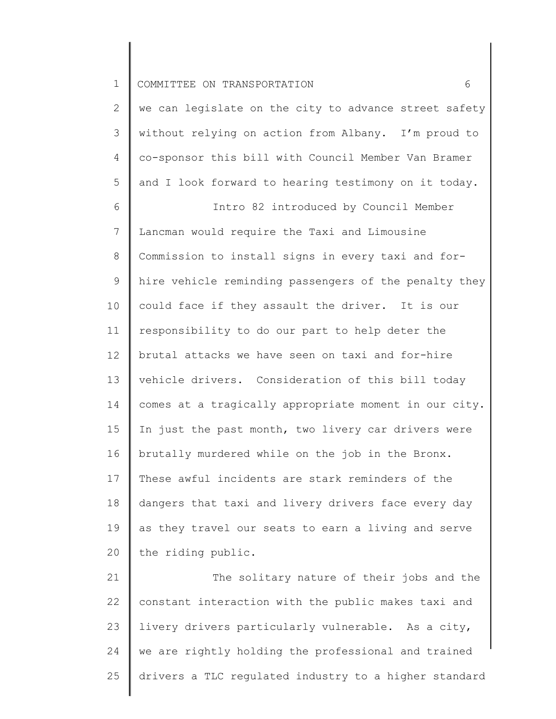| 1 COMMITTEE ON TRANSPORTATION |  |
|-------------------------------|--|
|-------------------------------|--|

2 3 4 5 we can legislate on the city to advance street safety without relying on action from Albany. I'm proud to co-sponsor this bill with Council Member Van Bramer and I look forward to hearing testimony on it today.

6 7 8 9 10 11 12 13 14 15 16 17 18 19 20 Intro 82 introduced by Council Member Lancman would require the Taxi and Limousine Commission to install signs in every taxi and forhire vehicle reminding passengers of the penalty they could face if they assault the driver. It is our responsibility to do our part to help deter the brutal attacks we have seen on taxi and for-hire vehicle drivers. Consideration of this bill today comes at a tragically appropriate moment in our city. In just the past month, two livery car drivers were brutally murdered while on the job in the Bronx. These awful incidents are stark reminders of the dangers that taxi and livery drivers face every day as they travel our seats to earn a living and serve the riding public.

21 22 23 24 25 The solitary nature of their jobs and the constant interaction with the public makes taxi and livery drivers particularly vulnerable. As a city, we are rightly holding the professional and trained drivers a TLC regulated industry to a higher standard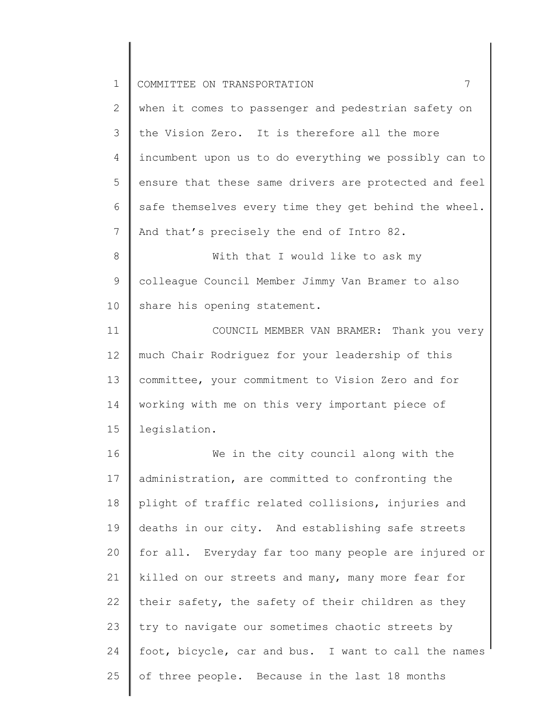2 3 4 5 6 7 when it comes to passenger and pedestrian safety on the Vision Zero. It is therefore all the more incumbent upon us to do everything we possibly can to ensure that these same drivers are protected and feel safe themselves every time they get behind the wheel. And that's precisely the end of Intro 82.

8 9 10 With that I would like to ask my colleague Council Member Jimmy Van Bramer to also share his opening statement.

11 12 13 14 15 COUNCIL MEMBER VAN BRAMER: Thank you very much Chair Rodriguez for your leadership of this committee, your commitment to Vision Zero and for working with me on this very important piece of legislation.

16 17 18 19 20 21 22 23 24 25 We in the city council along with the administration, are committed to confronting the plight of traffic related collisions, injuries and deaths in our city. And establishing safe streets for all. Everyday far too many people are injured or killed on our streets and many, many more fear for their safety, the safety of their children as they try to navigate our sometimes chaotic streets by foot, bicycle, car and bus. I want to call the names of three people. Because in the last 18 months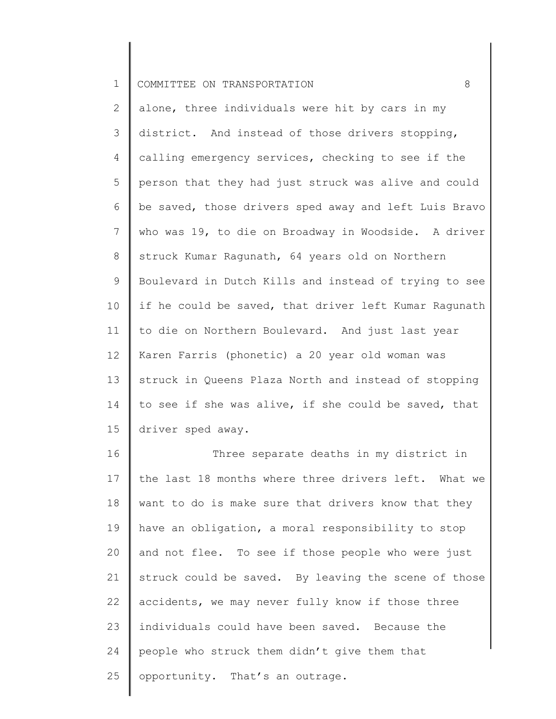2 3 4 5 6 7 8 9 10 11 12 13 14 15 alone, three individuals were hit by cars in my district. And instead of those drivers stopping, calling emergency services, checking to see if the person that they had just struck was alive and could be saved, those drivers sped away and left Luis Bravo who was 19, to die on Broadway in Woodside. A driver struck Kumar Ragunath, 64 years old on Northern Boulevard in Dutch Kills and instead of trying to see if he could be saved, that driver left Kumar Ragunath to die on Northern Boulevard. And just last year Karen Farris (phonetic) a 20 year old woman was struck in Queens Plaza North and instead of stopping to see if she was alive, if she could be saved, that driver sped away.

16 17 18 19 20 21 22 23 24 25 Three separate deaths in my district in the last 18 months where three drivers left. What we want to do is make sure that drivers know that they have an obligation, a moral responsibility to stop and not flee. To see if those people who were just struck could be saved. By leaving the scene of those accidents, we may never fully know if those three individuals could have been saved. Because the people who struck them didn't give them that opportunity. That's an outrage.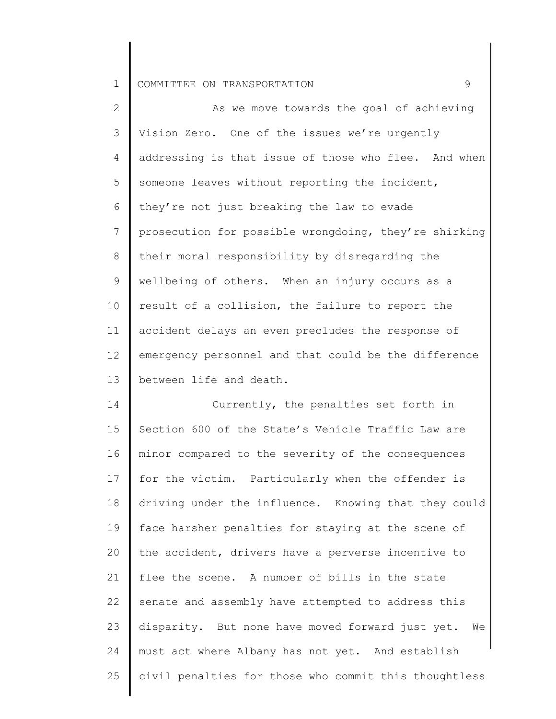2 3 4 5 6 7 8 9 10 11 12 13 14 As we move towards the goal of achieving Vision Zero. One of the issues we're urgently addressing is that issue of those who flee. And when someone leaves without reporting the incident, they're not just breaking the law to evade prosecution for possible wrongdoing, they're shirking their moral responsibility by disregarding the wellbeing of others. When an injury occurs as a result of a collision, the failure to report the accident delays an even precludes the response of emergency personnel and that could be the difference between life and death. Currently, the penalties set forth in

15 16 17 18 19 20 21 22 23 24 25 Section 600 of the State's Vehicle Traffic Law are minor compared to the severity of the consequences for the victim. Particularly when the offender is driving under the influence. Knowing that they could face harsher penalties for staying at the scene of the accident, drivers have a perverse incentive to flee the scene. A number of bills in the state senate and assembly have attempted to address this disparity. But none have moved forward just yet. We must act where Albany has not yet. And establish civil penalties for those who commit this thoughtless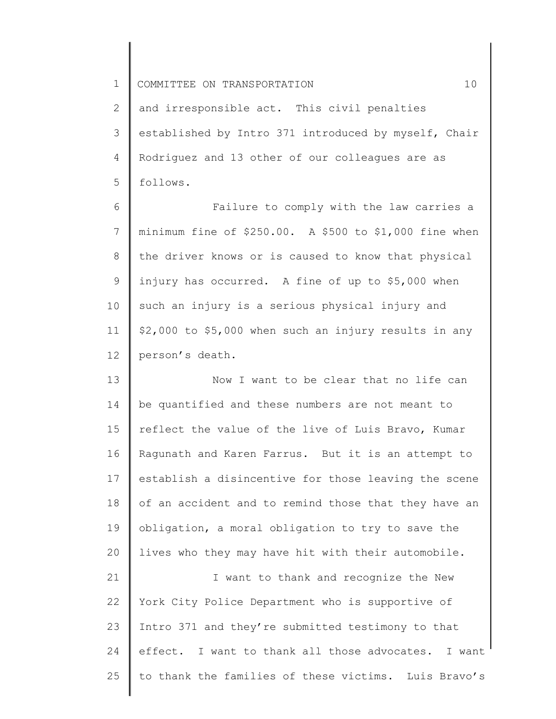2 3 4 5 and irresponsible act. This civil penalties established by Intro 371 introduced by myself, Chair Rodriguez and 13 other of our colleagues are as follows.

6 7 8 9 10 11 12 Failure to comply with the law carries a minimum fine of \$250.00. A \$500 to \$1,000 fine when the driver knows or is caused to know that physical injury has occurred. A fine of up to \$5,000 when such an injury is a serious physical injury and \$2,000 to \$5,000 when such an injury results in any person's death.

13 14 15 16 17 18 19 20 Now I want to be clear that no life can be quantified and these numbers are not meant to reflect the value of the live of Luis Bravo, Kumar Ragunath and Karen Farrus. But it is an attempt to establish a disincentive for those leaving the scene of an accident and to remind those that they have an obligation, a moral obligation to try to save the lives who they may have hit with their automobile.

21 22 23 24 25 I want to thank and recognize the New York City Police Department who is supportive of Intro 371 and they're submitted testimony to that effect. I want to thank all those advocates. I want to thank the families of these victims. Luis Bravo's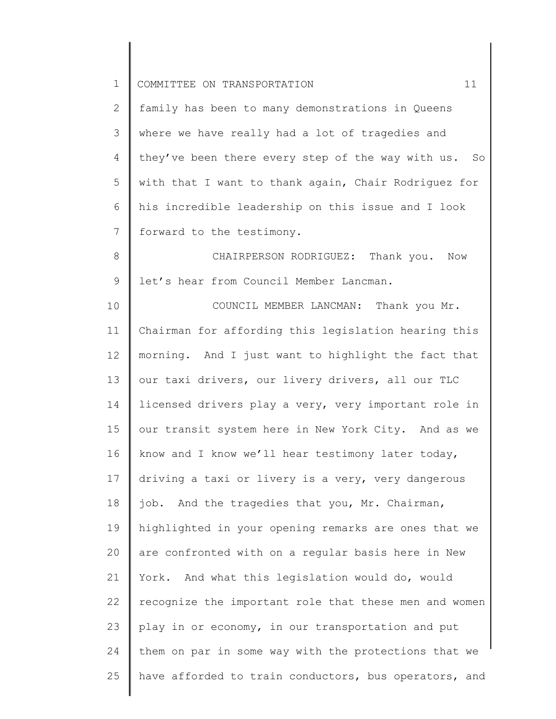| $\mathbf 1$    | COMMITTEE ON TRANSPORTATION<br>11                     |
|----------------|-------------------------------------------------------|
| $\mathbf{2}$   | family has been to many demonstrations in Queens      |
| 3              | where we have really had a lot of tragedies and       |
| $\overline{4}$ | they've been there every step of the way with us. So  |
| 5              | with that I want to thank again, Chair Rodriguez for  |
| 6              | his incredible leadership on this issue and I look    |
| $\overline{7}$ | forward to the testimony.                             |
| 8              | CHAIRPERSON RODRIGUEZ: Thank you. Now                 |
| 9              | let's hear from Council Member Lancman.               |
| 10             | COUNCIL MEMBER LANCMAN: Thank you Mr.                 |
| 11             | Chairman for affording this legislation hearing this  |
| 12             | morning. And I just want to highlight the fact that   |
| 13             | our taxi drivers, our livery drivers, all our TLC     |
| 14             | licensed drivers play a very, very important role in  |
| 15             | our transit system here in New York City. And as we   |
| 16             | know and I know we'll hear testimony later today,     |
| 17             | driving a taxi or livery is a very, very dangerous    |
| 18             | job. And the tragedies that you, Mr. Chairman,        |
| 19             | highlighted in your opening remarks are ones that we  |
| 20             | are confronted with on a regular basis here in New    |
| 21             | York. And what this legislation would do, would       |
| 22             | recognize the important role that these men and women |
| 23             | play in or economy, in our transportation and put     |
| 24             | them on par in some way with the protections that we  |
| 25             | have afforded to train conductors, bus operators, and |

 $\begin{array}{c} \hline \end{array}$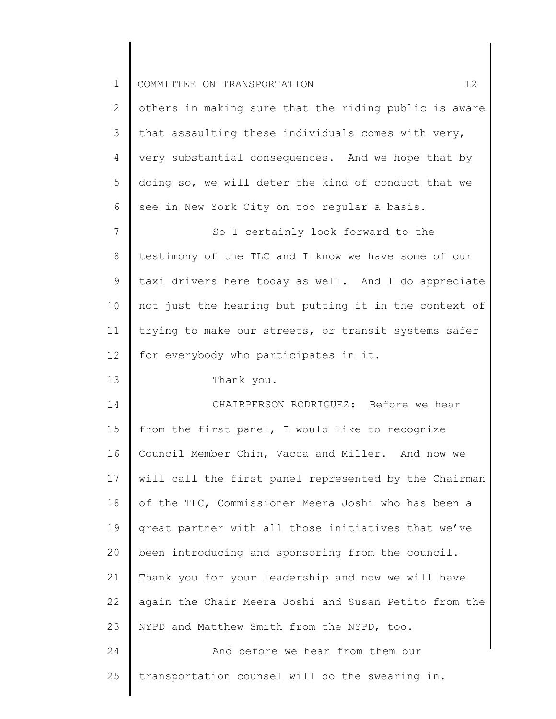| $\mathbf 1$    | $12 \overline{ }$<br>COMMITTEE ON TRANSPORTATION      |
|----------------|-------------------------------------------------------|
| 2              | others in making sure that the riding public is aware |
| 3              | that assaulting these individuals comes with very,    |
| $\overline{4}$ | very substantial consequences. And we hope that by    |
| 5              | doing so, we will deter the kind of conduct that we   |
| 6              | see in New York City on too regular a basis.          |
| $7\phantom{.}$ | So I certainly look forward to the                    |
| 8              | testimony of the TLC and I know we have some of our   |
| $\mathsf 9$    | taxi drivers here today as well. And I do appreciate  |
| 10             | not just the hearing but putting it in the context of |
| 11             | trying to make our streets, or transit systems safer  |
| 12             | for everybody who participates in it.                 |
| 13             | Thank you.                                            |
| 14             | CHAIRPERSON RODRIGUEZ: Before we hear                 |
| 15             | from the first panel, I would like to recognize       |
| 16             | Council Member Chin, Vacca and Miller. And now we     |
| 17             | will call the first panel represented by the Chairman |
| 18             | of the TLC, Commissioner Meera Joshi who has been a   |
| 19             | great partner with all those initiatives that we've   |
| 20             | been introducing and sponsoring from the council.     |
| 21             | Thank you for your leadership and now we will have    |
| 22             | again the Chair Meera Joshi and Susan Petito from the |
| 23             | NYPD and Matthew Smith from the NYPD, too.            |
| 24             | And before we hear from them our                      |
| 25             | transportation counsel will do the swearing in.       |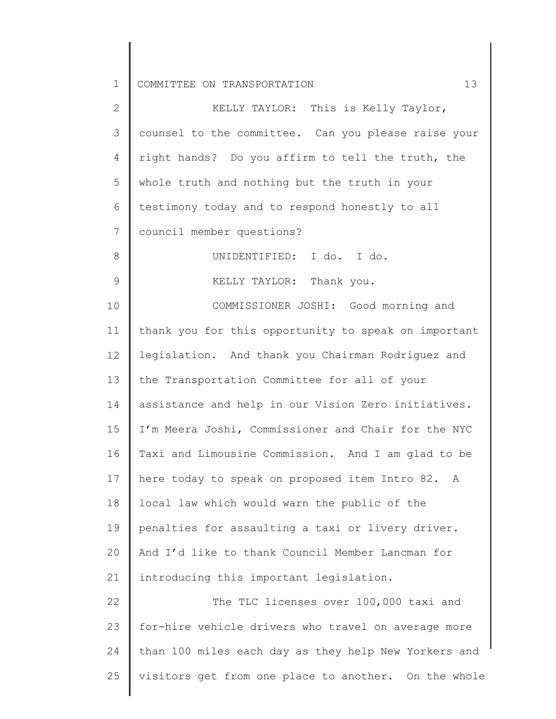| 2              | KELLY TAYLOR: This is Kelly Taylor,                  |
|----------------|------------------------------------------------------|
| 3              | counsel to the committee. Can you please raise your  |
| 4              | right hands? Do you affirm to tell the truth, the    |
| 5              | whole truth and nothing but the truth in your        |
| 6              | testimony today and to respond honestly to all       |
| $7\phantom{.}$ | council member questions?                            |
| 8              | UNIDENTIFIED: I do. I do.                            |
| $\mathsf 9$    | KELLY TAYLOR: Thank you.                             |
| 10             | COMMISSIONER JOSHI: Good morning and                 |
| 11             | thank you for this opportunity to speak on important |
| 12             | legislation. And thank you Chairman Rodriguez and    |
| 13             | the Transportation Committee for all of your         |
| 14             | assistance and help in our Vision Zero initiatives.  |
| 15             | I'm Meera Joshi, Commissioner and Chair for the NYC  |
| 16             | Taxi and Limousine Commission. And I am glad to be   |
| 17             | here today to speak on proposed item Intro 82. A     |
| 18             | local law which would warn the public of the         |
| 19             | penalties for assaulting a taxi or livery driver.    |
| 20             | And I'd like to thank Council Member Lancman for     |
| 21             | introducing this important legislation.              |
| 22             | The TLC licenses over 100,000 taxi and               |
| 23             | for-hire vehicle drivers who travel on average more  |
| 24             | than 100 miles each day as they help New Yorkers and |
| 25             | visitors get from one place to another. On the whole |
|                |                                                      |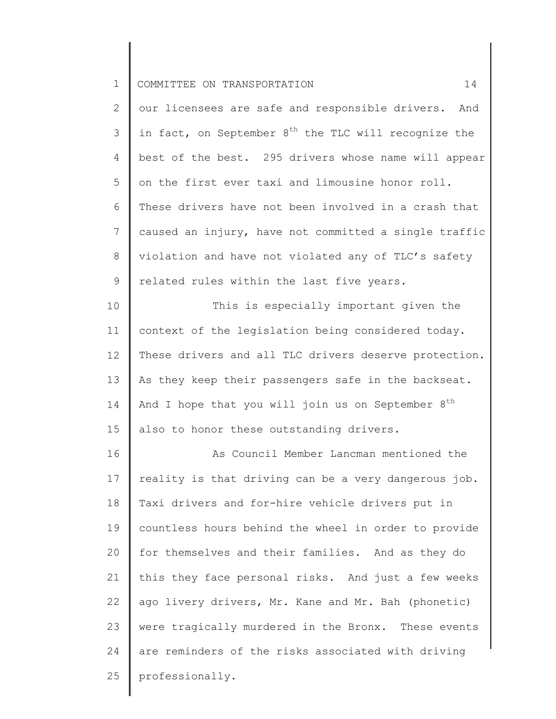2 3 4 5 6 7 8 9 our licensees are safe and responsible drivers. And in fact, on September  $8<sup>th</sup>$  the TLC will recognize the best of the best. 295 drivers whose name will appear on the first ever taxi and limousine honor roll. These drivers have not been involved in a crash that caused an injury, have not committed a single traffic violation and have not violated any of TLC's safety related rules within the last five years.

10 11 12 13 14 15 This is especially important given the context of the legislation being considered today. These drivers and all TLC drivers deserve protection. As they keep their passengers safe in the backseat. And I hope that you will join us on September  $8^{th}$ also to honor these outstanding drivers.

16 17 18 19 20 21 22 23 24 25 As Council Member Lancman mentioned the reality is that driving can be a very dangerous job. Taxi drivers and for-hire vehicle drivers put in countless hours behind the wheel in order to provide for themselves and their families. And as they do this they face personal risks. And just a few weeks ago livery drivers, Mr. Kane and Mr. Bah (phonetic) were tragically murdered in the Bronx. These events are reminders of the risks associated with driving professionally.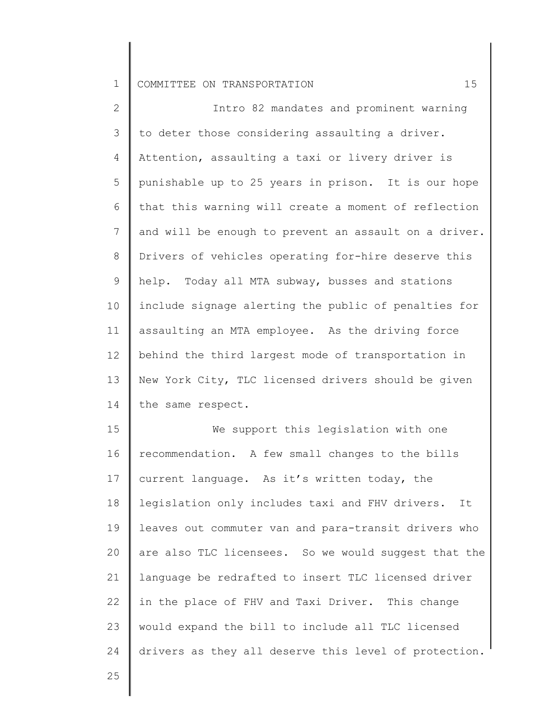2 3 4 5 6 7 8 9 10 11 12 13 14 Intro 82 mandates and prominent warning to deter those considering assaulting a driver. Attention, assaulting a taxi or livery driver is punishable up to 25 years in prison. It is our hope that this warning will create a moment of reflection and will be enough to prevent an assault on a driver. Drivers of vehicles operating for-hire deserve this help. Today all MTA subway, busses and stations include signage alerting the public of penalties for assaulting an MTA employee. As the driving force behind the third largest mode of transportation in New York City, TLC licensed drivers should be given the same respect.

15 16 17 18 19 20 21 22 23 24 We support this legislation with one recommendation. A few small changes to the bills current language. As it's written today, the legislation only includes taxi and FHV drivers. It leaves out commuter van and para-transit drivers who are also TLC licensees. So we would suggest that the language be redrafted to insert TLC licensed driver in the place of FHV and Taxi Driver. This change would expand the bill to include all TLC licensed drivers as they all deserve this level of protection.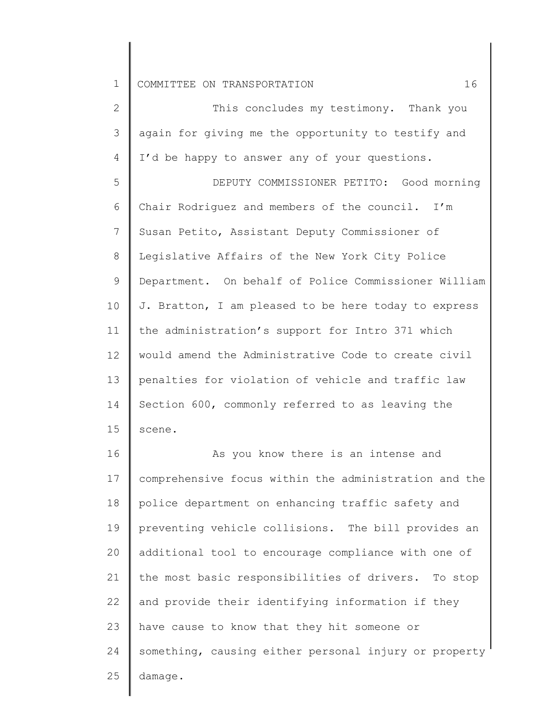2 3 4 5 6 7 8 9 10 11 12 13 14 15 This concludes my testimony. Thank you again for giving me the opportunity to testify and I'd be happy to answer any of your questions. DEPUTY COMMISSIONER PETITO: Good morning Chair Rodriguez and members of the council. I'm Susan Petito, Assistant Deputy Commissioner of Legislative Affairs of the New York City Police Department. On behalf of Police Commissioner William J. Bratton, I am pleased to be here today to express the administration's support for Intro 371 which would amend the Administrative Code to create civil penalties for violation of vehicle and traffic law Section 600, commonly referred to as leaving the scene.

16 17 18 19 20 21 22 23 24 25 As you know there is an intense and comprehensive focus within the administration and the police department on enhancing traffic safety and preventing vehicle collisions. The bill provides an additional tool to encourage compliance with one of the most basic responsibilities of drivers. To stop and provide their identifying information if they have cause to know that they hit someone or something, causing either personal injury or property damage.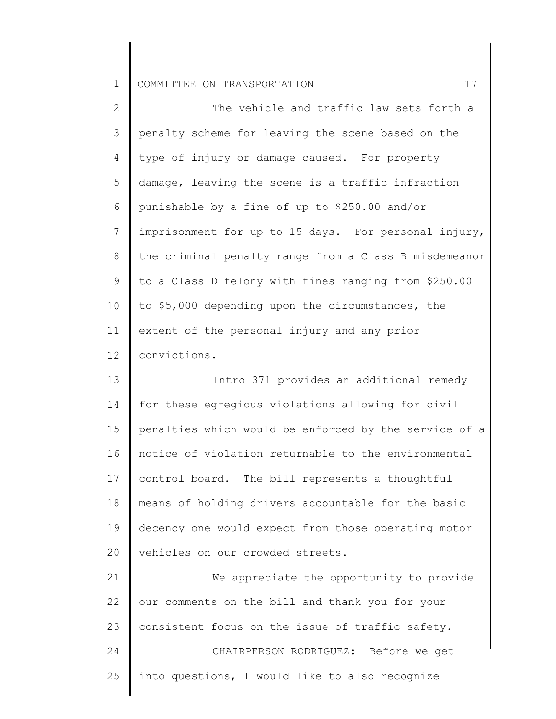| 2               | The vehicle and traffic law sets forth a              |
|-----------------|-------------------------------------------------------|
| 3               | penalty scheme for leaving the scene based on the     |
| 4               | type of injury or damage caused. For property         |
| 5               | damage, leaving the scene is a traffic infraction     |
| 6               | punishable by a fine of up to \$250.00 and/or         |
| $7\phantom{.0}$ | imprisonment for up to 15 days. For personal injury,  |
| 8               | the criminal penalty range from a Class B misdemeanor |
| 9               | to a Class D felony with fines ranging from \$250.00  |
| 10              | to \$5,000 depending upon the circumstances, the      |
| 11              | extent of the personal injury and any prior           |
| 12              | convictions.                                          |
| 13              | Intro 371 provides an additional remedy               |
| 14              | for these egregious violations allowing for civil     |
| 15              | penalties which would be enforced by the service of a |
| 16              | notice of violation returnable to the environmental   |
| 17              | control board. The bill represents a thoughtful       |
| 18              | means of holding drivers accountable for the basic    |
| 19              | decency one would expect from those operating motor   |
| 20              | vehicles on our crowded streets.                      |
| 21              | We appreciate the opportunity to provide              |
| 22              | our comments on the bill and thank you for your       |

23 24 25 consistent focus on the issue of traffic safety. CHAIRPERSON RODRIGUEZ: Before we get into questions, I would like to also recognize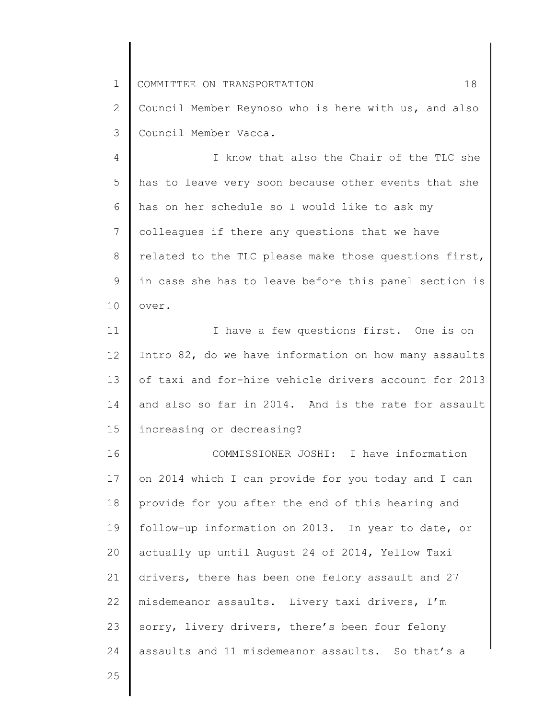1 2 3 4 COMMITTEE ON TRANSPORTATION 18 Council Member Reynoso who is here with us, and also Council Member Vacca. I know that also the Chair of the TLC she

5 6 7 8 9 10 has to leave very soon because other events that she has on her schedule so I would like to ask my colleagues if there any questions that we have related to the TLC please make those questions first, in case she has to leave before this panel section is over.

11 12 13 14 15 I have a few questions first. One is on Intro 82, do we have information on how many assaults of taxi and for-hire vehicle drivers account for 2013 and also so far in 2014. And is the rate for assault increasing or decreasing?

16 17 18 19 20 21 22 23 24 COMMISSIONER JOSHI: I have information on 2014 which I can provide for you today and I can provide for you after the end of this hearing and follow-up information on 2013. In year to date, or actually up until August 24 of 2014, Yellow Taxi drivers, there has been one felony assault and 27 misdemeanor assaults. Livery taxi drivers, I'm sorry, livery drivers, there's been four felony assaults and 11 misdemeanor assaults. So that's a

25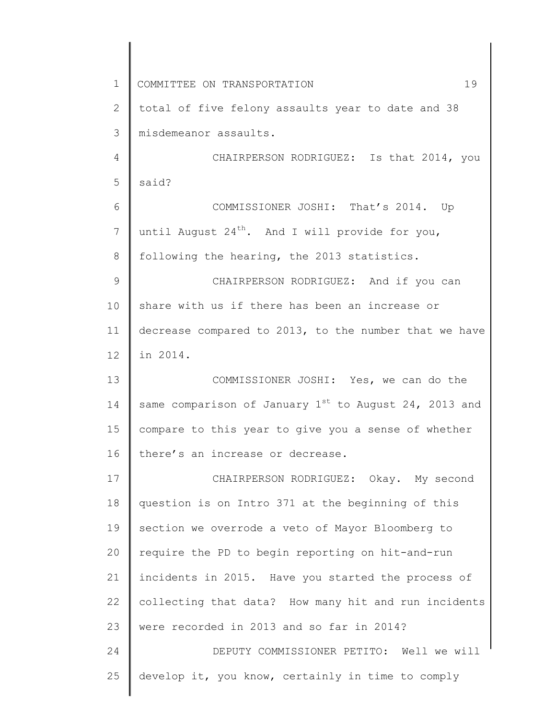1 2 3 4 5 6 7 8 9 10 11 12 13 14 15 16 17 18 19 20 21 22 23 24 25 COMMITTEE ON TRANSPORTATION 19 total of five felony assaults year to date and 38 misdemeanor assaults. CHAIRPERSON RODRIGUEZ: Is that 2014, you said? COMMISSIONER JOSHI: That's 2014. Up until August  $24^{th}$ . And I will provide for you, following the hearing, the 2013 statistics. CHAIRPERSON RODRIGUEZ: And if you can share with us if there has been an increase or decrease compared to 2013, to the number that we have in 2014. COMMISSIONER JOSHI: Yes, we can do the same comparison of January  $1^{st}$  to August 24, 2013 and compare to this year to give you a sense of whether there's an increase or decrease. CHAIRPERSON RODRIGUEZ: Okay. My second question is on Intro 371 at the beginning of this section we overrode a veto of Mayor Bloomberg to require the PD to begin reporting on hit-and-run incidents in 2015. Have you started the process of collecting that data? How many hit and run incidents were recorded in 2013 and so far in 2014? DEPUTY COMMISSIONER PETITO: Well we will develop it, you know, certainly in time to comply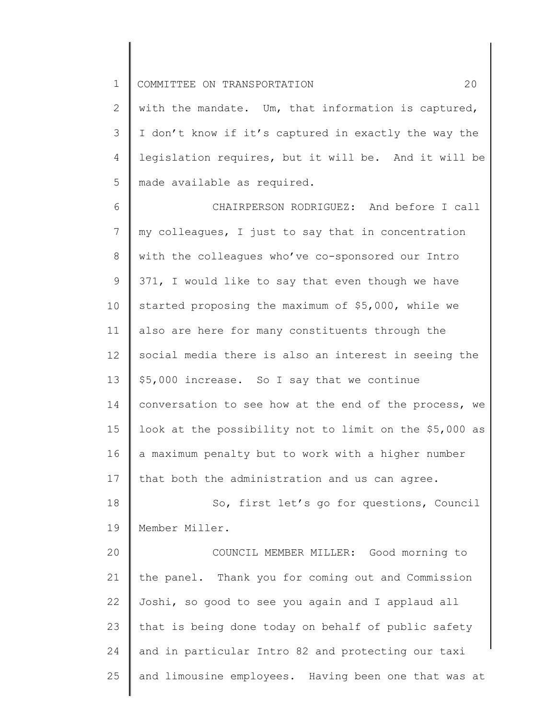2 3 4 5 with the mandate. Um, that information is captured, I don't know if it's captured in exactly the way the legislation requires, but it will be. And it will be made available as required.

6 7 8 9 10 11 12 13 14 15 16 17 CHAIRPERSON RODRIGUEZ: And before I call my colleagues, I just to say that in concentration with the colleagues who've co-sponsored our Intro 371, I would like to say that even though we have started proposing the maximum of \$5,000, while we also are here for many constituents through the social media there is also an interest in seeing the \$5,000 increase. So I say that we continue conversation to see how at the end of the process, we look at the possibility not to limit on the \$5,000 as a maximum penalty but to work with a higher number that both the administration and us can agree.

18 19 So, first let's go for questions, Council Member Miller.

20 21 22 23 24 25 COUNCIL MEMBER MILLER: Good morning to the panel. Thank you for coming out and Commission Joshi, so good to see you again and I applaud all that is being done today on behalf of public safety and in particular Intro 82 and protecting our taxi and limousine employees. Having been one that was at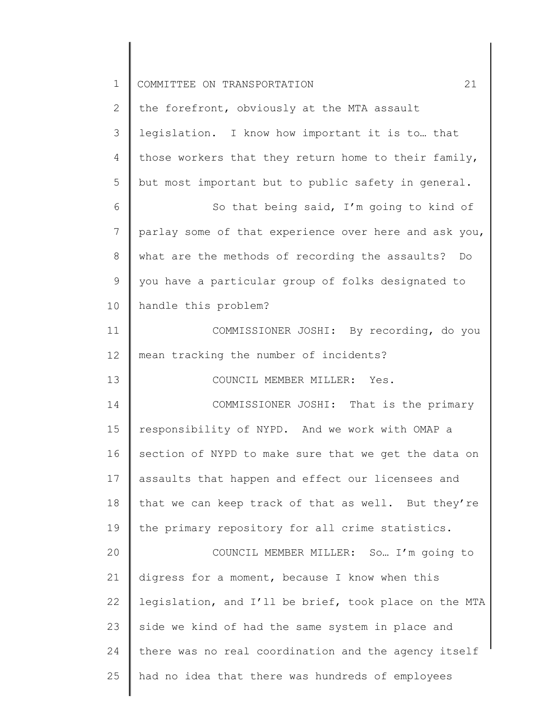| $\mathbf 1$    | 21<br>COMMITTEE ON TRANSPORTATION                     |
|----------------|-------------------------------------------------------|
| 2              | the forefront, obviously at the MTA assault           |
| 3              | legislation. I know how important it is to that       |
| $\overline{4}$ | those workers that they return home to their family,  |
| 5              | but most important but to public safety in general.   |
| 6              | So that being said, I'm going to kind of              |
| 7              | parlay some of that experience over here and ask you, |
| 8              | what are the methods of recording the assaults? Do    |
| 9              | you have a particular group of folks designated to    |
| 10             | handle this problem?                                  |
| 11             | COMMISSIONER JOSHI: By recording, do you              |
| 12             | mean tracking the number of incidents?                |
| 13             | COUNCIL MEMBER MILLER: Yes.                           |
| 14             | COMMISSIONER JOSHI: That is the primary               |
| 15             | responsibility of NYPD. And we work with OMAP a       |
| 16             | section of NYPD to make sure that we get the data on  |
| 17             | assaults that happen and effect our licensees and     |
| 18             | that we can keep track of that as well. But they're   |
| 19             | the primary repository for all crime statistics.      |
| 20             | COUNCIL MEMBER MILLER: So I'm going to                |
| 21             | digress for a moment, because I know when this        |
| 22             | legislation, and I'll be brief, took place on the MTA |
| 23             | side we kind of had the same system in place and      |
| 24             | there was no real coordination and the agency itself  |
| 25             | had no idea that there was hundreds of employees      |
|                |                                                       |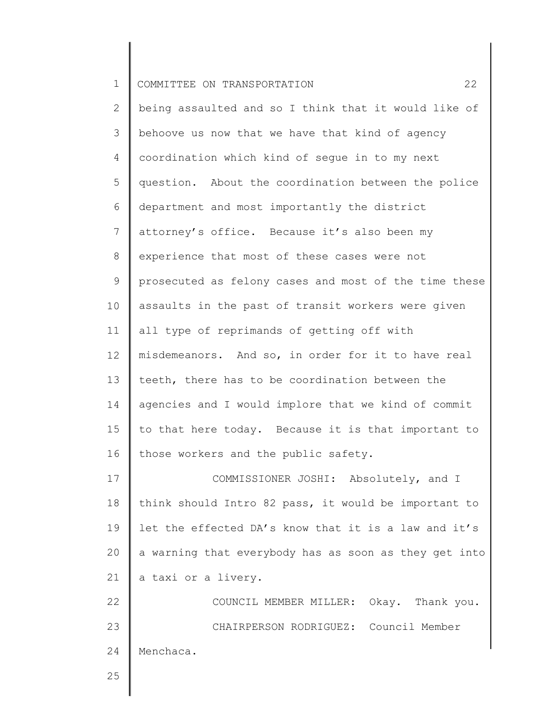| $\mathbf{1}$   | 22<br>COMMITTEE ON TRANSPORTATION                     |
|----------------|-------------------------------------------------------|
| $\overline{2}$ | being assaulted and so I think that it would like of  |
| 3              | behoove us now that we have that kind of agency       |
| $\overline{4}$ | coordination which kind of segue in to my next        |
| 5              | question. About the coordination between the police   |
| 6              | department and most importantly the district          |
| 7              | attorney's office. Because it's also been my          |
| $8\,$          | experience that most of these cases were not          |
| 9              | prosecuted as felony cases and most of the time these |
| 10             | assaults in the past of transit workers were given    |
| 11             | all type of reprimands of getting off with            |
| 12             | misdemeanors. And so, in order for it to have real    |
| 13             | teeth, there has to be coordination between the       |
| 14             | agencies and I would implore that we kind of commit   |
| 15             | to that here today. Because it is that important to   |
| 16             | those workers and the public safety.                  |
| 17             | COMMISSIONER JOSHI: Absolutely, and I                 |
| 18             | think should Intro 82 pass, it would be important to  |
| 19             | let the effected DA's know that it is a law and it's  |
| 20             | a warning that everybody has as soon as they get into |
| 21             | a taxi or a livery.                                   |
| 22             | COUNCIL MEMBER MILLER: Okay. Thank you.               |
| 23             | CHAIRPERSON RODRIGUEZ: Council Member                 |
| 24             | Menchaca.                                             |
| 25             |                                                       |
|                |                                                       |

∥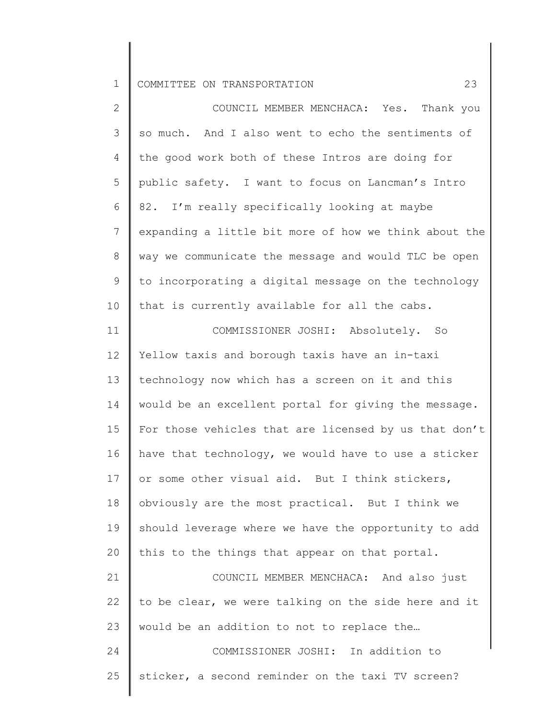| $\mathbf{2}$    | COUNCIL MEMBER MENCHACA: Yes. Thank you               |
|-----------------|-------------------------------------------------------|
| 3               | so much. And I also went to echo the sentiments of    |
| 4               | the good work both of these Intros are doing for      |
| 5               | public safety. I want to focus on Lancman's Intro     |
| 6               | 82. I'm really specifically looking at maybe          |
| $7\phantom{.0}$ | expanding a little bit more of how we think about the |
| 8               | way we communicate the message and would TLC be open  |
| 9               | to incorporating a digital message on the technology  |
| 10              | that is currently available for all the cabs.         |
| 11              | COMMISSIONER JOSHI: Absolutely. So                    |
| 12              | Yellow taxis and borough taxis have an in-taxi        |
| 13              | technology now which has a screen on it and this      |
| 14              | would be an excellent portal for giving the message.  |
| 15              | For those vehicles that are licensed by us that don't |
| 16              | have that technology, we would have to use a sticker  |
| 17              | or some other visual aid. But I think stickers,       |
| 18              | obviously are the most practical. But I think we      |
| 19              | should leverage where we have the opportunity to add  |
| 20              | this to the things that appear on that portal.        |
| 21              | COUNCIL MEMBER MENCHACA: And also just                |
| 22              | to be clear, we were talking on the side here and it  |
| 23              | would be an addition to not to replace the            |
| 24              | COMMISSIONER JOSHI: In addition to                    |
| 25              | sticker, a second reminder on the taxi TV screen?     |
|                 |                                                       |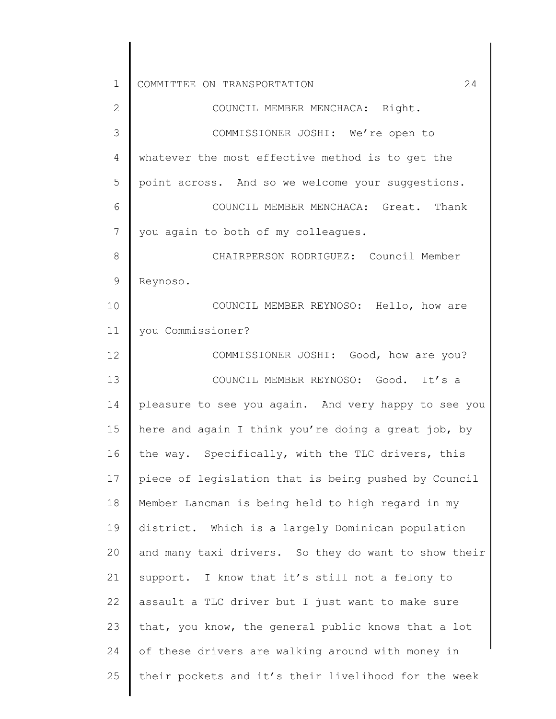| $\mathbf 1$  | 24<br>COMMITTEE ON TRANSPORTATION                    |
|--------------|------------------------------------------------------|
| $\mathbf{2}$ | COUNCIL MEMBER MENCHACA: Right.                      |
| 3            | COMMISSIONER JOSHI: We're open to                    |
| 4            | whatever the most effective method is to get the     |
| 5            | point across. And so we welcome your suggestions.    |
| 6            | COUNCIL MEMBER MENCHACA: Great. Thank                |
| 7            | you again to both of my colleagues.                  |
| 8            | CHAIRPERSON RODRIGUEZ: Council Member                |
| 9            | Reynoso.                                             |
| 10           | COUNCIL MEMBER REYNOSO: Hello, how are               |
| 11           | you Commissioner?                                    |
| 12           | COMMISSIONER JOSHI: Good, how are you?               |
| 13           | COUNCIL MEMBER REYNOSO: Good. It's a                 |
| 14           | pleasure to see you again. And very happy to see you |
| 15           | here and again I think you're doing a great job, by  |
| 16           | the way. Specifically, with the TLC drivers, this    |
| 17           | piece of legislation that is being pushed by Council |
| 18           | Member Lancman is being held to high regard in my    |
| 19           | district. Which is a largely Dominican population    |
| 20           | and many taxi drivers. So they do want to show their |
| 21           | support. I know that it's still not a felony to      |
| 22           | assault a TLC driver but I just want to make sure    |
| 23           | that, you know, the general public knows that a lot  |
| 24           | of these drivers are walking around with money in    |
| 25           | their pockets and it's their livelihood for the week |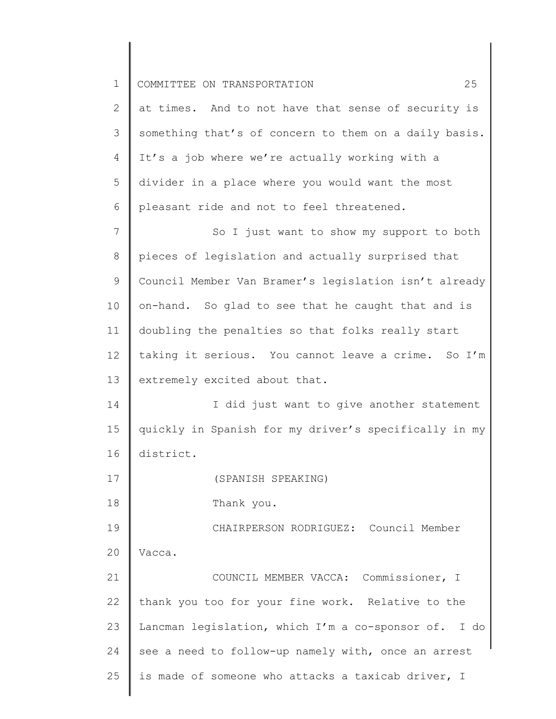| $\mathbf 1$    | 25<br>COMMITTEE ON TRANSPORTATION                     |
|----------------|-------------------------------------------------------|
| 2              | at times. And to not have that sense of security is   |
| 3              | something that's of concern to them on a daily basis. |
| 4              | It's a job where we're actually working with a        |
| 5              | divider in a place where you would want the most      |
| 6              | pleasant ride and not to feel threatened.             |
| $7\phantom{.}$ | So I just want to show my support to both             |
| $\,8\,$        | pieces of legislation and actually surprised that     |
| 9              | Council Member Van Bramer's legislation isn't already |
| 10             | on-hand. So glad to see that he caught that and is    |
| 11             | doubling the penalties so that folks really start     |
| 12             | taking it serious. You cannot leave a crime. So I'm   |
| 13             | extremely excited about that.                         |
| 14             | I did just want to give another statement             |
| 15             | quickly in Spanish for my driver's specifically in my |
| 16             | district.                                             |
| 17             | (SPANISH SPEAKING)                                    |
| 18             | Thank you.                                            |
| 19             | CHAIRPERSON RODRIGUEZ: Council Member                 |
| 20             | Vacca.                                                |
| 21             | COUNCIL MEMBER VACCA: Commissioner, I                 |
| 22             | thank you too for your fine work. Relative to the     |
| 23             | Lancman legislation, which I'm a co-sponsor of. I do  |
| 24             | see a need to follow-up namely with, once an arrest   |
| 25             | is made of someone who attacks a taxicab driver, I    |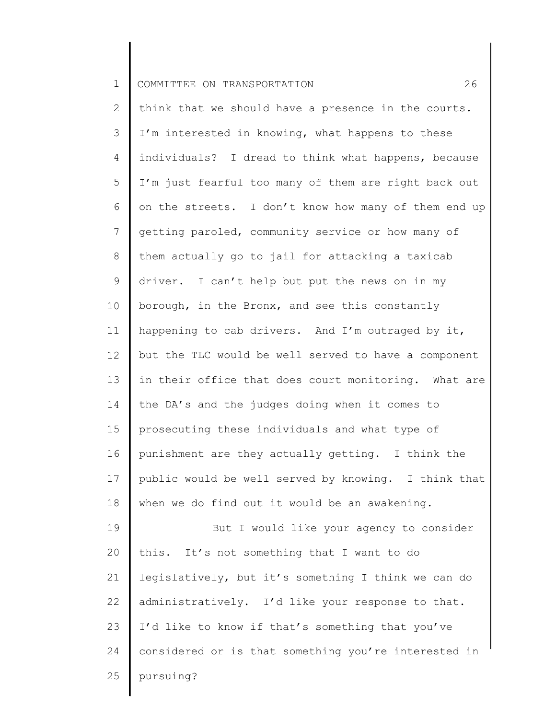2 3 4 5 6 7 8 9 10 11 12 13 14 15 16 17 18 19 20 21 22 think that we should have a presence in the courts. I'm interested in knowing, what happens to these individuals? I dread to think what happens, because I'm just fearful too many of them are right back out on the streets. I don't know how many of them end up getting paroled, community service or how many of them actually go to jail for attacking a taxicab driver. I can't help but put the news on in my borough, in the Bronx, and see this constantly happening to cab drivers. And I'm outraged by it, but the TLC would be well served to have a component in their office that does court monitoring. What are the DA's and the judges doing when it comes to prosecuting these individuals and what type of punishment are they actually getting. I think the public would be well served by knowing. I think that when we do find out it would be an awakening. But I would like your agency to consider this. It's not something that I want to do legislatively, but it's something I think we can do

23 administratively. I'd like your response to that. I'd like to know if that's something that you've

24 considered or is that something you're interested in

25

pursuing?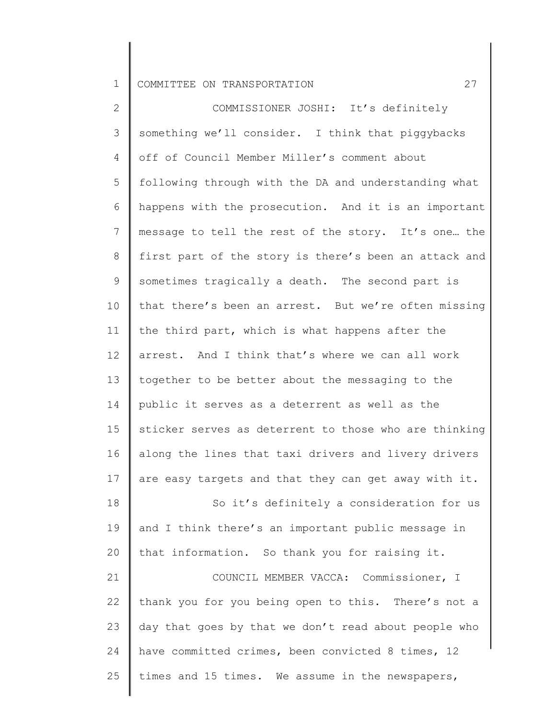2 3 4 5 6 7 8 9 10 11 12 13 14 15 16 17 18 19 20 21 22 23 24 25 COMMISSIONER JOSHI: It's definitely something we'll consider. I think that piggybacks off of Council Member Miller's comment about following through with the DA and understanding what happens with the prosecution. And it is an important message to tell the rest of the story. It's one… the first part of the story is there's been an attack and sometimes tragically a death. The second part is that there's been an arrest. But we're often missing the third part, which is what happens after the arrest. And I think that's where we can all work together to be better about the messaging to the public it serves as a deterrent as well as the sticker serves as deterrent to those who are thinking along the lines that taxi drivers and livery drivers are easy targets and that they can get away with it. So it's definitely a consideration for us and I think there's an important public message in that information. So thank you for raising it. COUNCIL MEMBER VACCA: Commissioner, I thank you for you being open to this. There's not a day that goes by that we don't read about people who have committed crimes, been convicted 8 times, 12 times and 15 times. We assume in the newspapers,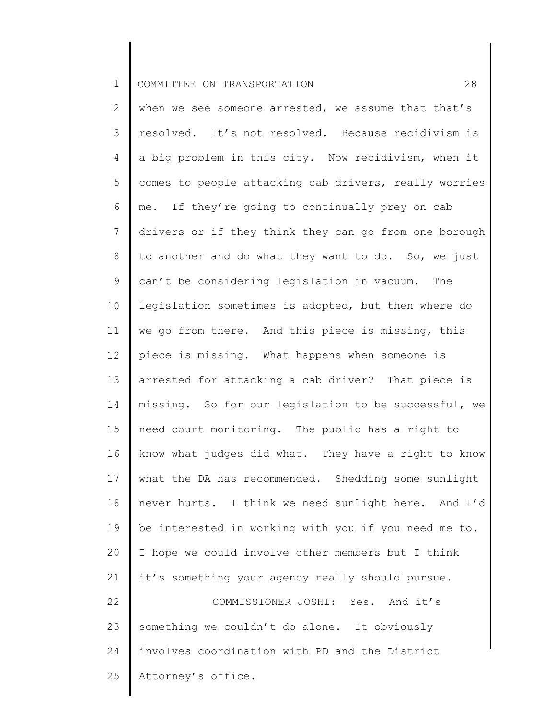2 3 4 5 6 7 8 9 10 11 12 13 14 15 16 17 18 19 20 21 22 23 24 25 when we see someone arrested, we assume that that's resolved. It's not resolved. Because recidivism is a big problem in this city. Now recidivism, when it comes to people attacking cab drivers, really worries me. If they're going to continually prey on cab drivers or if they think they can go from one borough to another and do what they want to do. So, we just can't be considering legislation in vacuum. The legislation sometimes is adopted, but then where do we go from there. And this piece is missing, this piece is missing. What happens when someone is arrested for attacking a cab driver? That piece is missing. So for our legislation to be successful, we need court monitoring. The public has a right to know what judges did what. They have a right to know what the DA has recommended. Shedding some sunlight never hurts. I think we need sunlight here. And I'd be interested in working with you if you need me to. I hope we could involve other members but I think it's something your agency really should pursue. COMMISSIONER JOSHI: Yes. And it's something we couldn't do alone. It obviously involves coordination with PD and the District Attorney's office.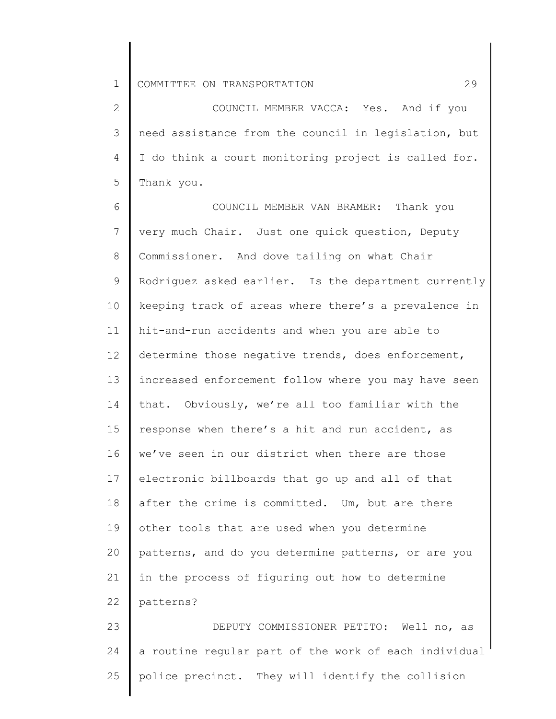2 3 4 5 COUNCIL MEMBER VACCA: Yes. And if you need assistance from the council in legislation, but I do think a court monitoring project is called for. Thank you.

6 7 8 9 10 11 12 13 14 15 16 17 18 19 20 21 22 COUNCIL MEMBER VAN BRAMER: Thank you very much Chair. Just one quick question, Deputy Commissioner. And dove tailing on what Chair Rodriguez asked earlier. Is the department currently keeping track of areas where there's a prevalence in hit-and-run accidents and when you are able to determine those negative trends, does enforcement, increased enforcement follow where you may have seen that. Obviously, we're all too familiar with the response when there's a hit and run accident, as we've seen in our district when there are those electronic billboards that go up and all of that after the crime is committed. Um, but are there other tools that are used when you determine patterns, and do you determine patterns, or are you in the process of figuring out how to determine patterns?

23 24 25 DEPUTY COMMISSIONER PETITO: Well no, as a routine regular part of the work of each individual police precinct. They will identify the collision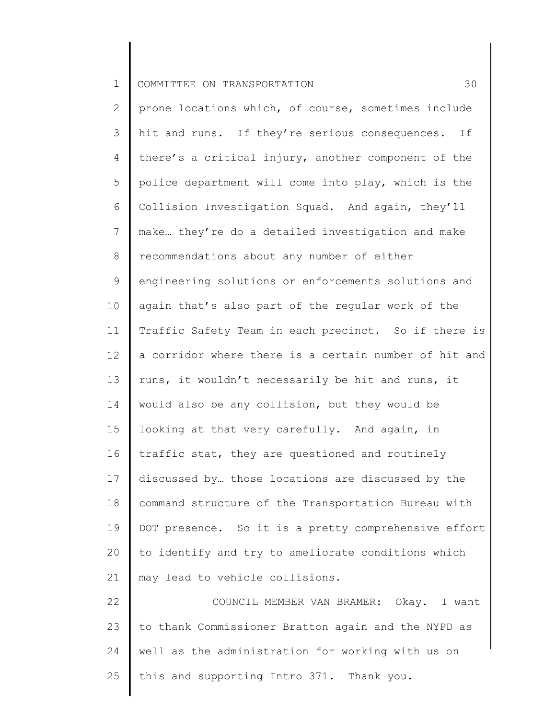2 3 4 5 6 7 8 9 10 11 12 13 14 15 16 17 18 19 20 21 22 23 prone locations which, of course, sometimes include hit and runs. If they're serious consequences. If there's a critical injury, another component of the police department will come into play, which is the Collision Investigation Squad. And again, they'll make… they're do a detailed investigation and make recommendations about any number of either engineering solutions or enforcements solutions and again that's also part of the regular work of the Traffic Safety Team in each precinct. So if there is a corridor where there is a certain number of hit and runs, it wouldn't necessarily be hit and runs, it would also be any collision, but they would be looking at that very carefully. And again, in traffic stat, they are questioned and routinely discussed by… those locations are discussed by the command structure of the Transportation Bureau with DOT presence. So it is a pretty comprehensive effort to identify and try to ameliorate conditions which may lead to vehicle collisions. COUNCIL MEMBER VAN BRAMER: Okay. I want to thank Commissioner Bratton again and the NYPD as

24 25 well as the administration for working with us on this and supporting Intro 371. Thank you.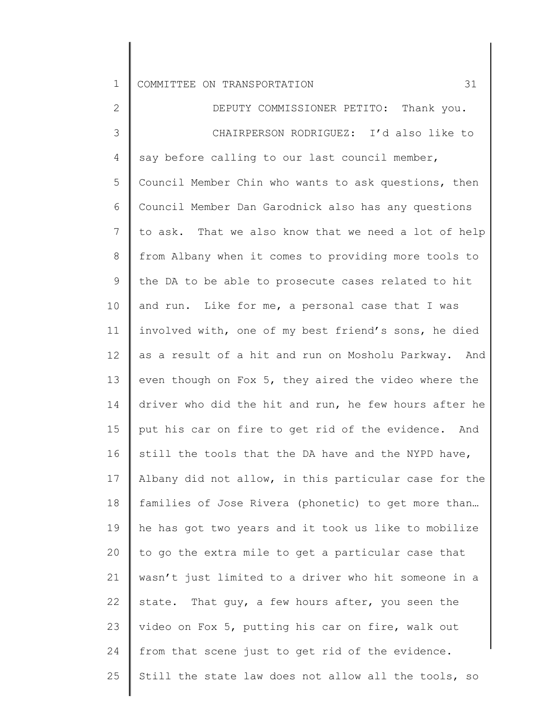| $\mathbf 1$ | 31<br>COMMITTEE ON TRANSPORTATION                     |
|-------------|-------------------------------------------------------|
| 2           | DEPUTY COMMISSIONER PETITO: Thank you.                |
| 3           | CHAIRPERSON RODRIGUEZ: I'd also like to               |
| 4           | say before calling to our last council member,        |
| 5           | Council Member Chin who wants to ask questions, then  |
| 6           | Council Member Dan Garodnick also has any questions   |
| 7           | to ask. That we also know that we need a lot of help  |
| 8           | from Albany when it comes to providing more tools to  |
| 9           | the DA to be able to prosecute cases related to hit   |
| 10          | and run. Like for me, a personal case that I was      |
| 11          | involved with, one of my best friend's sons, he died  |
| 12          | as a result of a hit and run on Mosholu Parkway. And  |
| 13          | even though on Fox 5, they aired the video where the  |
| 14          | driver who did the hit and run, he few hours after he |
| 15          | put his car on fire to get rid of the evidence. And   |
| 16          | still the tools that the DA have and the NYPD have,   |
| 17          | Albany did not allow, in this particular case for the |
| 18          | families of Jose Rivera (phonetic) to get more than   |
| 19          | he has got two years and it took us like to mobilize  |
| 20          | to go the extra mile to get a particular case that    |
| 21          | wasn't just limited to a driver who hit someone in a  |
| 22          | state. That guy, a few hours after, you seen the      |
| 23          | video on Fox 5, putting his car on fire, walk out     |
| 24          | from that scene just to get rid of the evidence.      |
| 25          | Still the state law does not allow all the tools, so  |
|             |                                                       |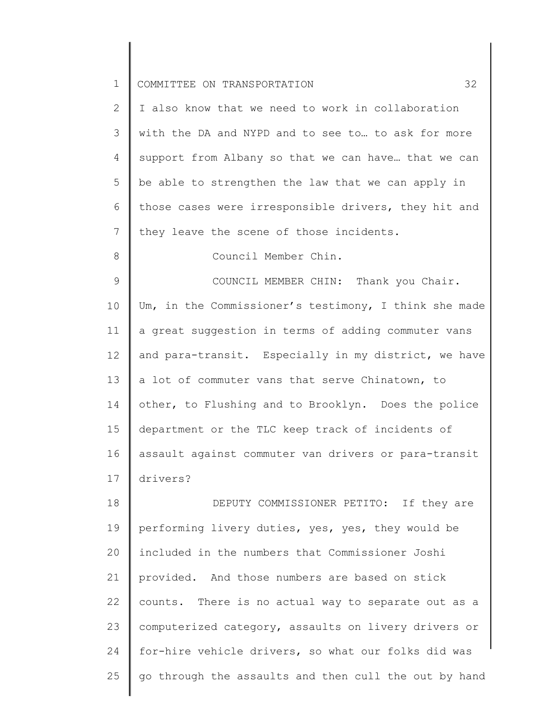| $\mathbf 1$     | 32<br>COMMITTEE ON TRANSPORTATION                     |
|-----------------|-------------------------------------------------------|
| $\mathbf{2}$    | I also know that we need to work in collaboration     |
| 3               | with the DA and NYPD and to see to to ask for more    |
| 4               | support from Albany so that we can have that we can   |
| 5               | be able to strengthen the law that we can apply in    |
| 6               | those cases were irresponsible drivers, they hit and  |
| 7               | they leave the scene of those incidents.              |
| $8\,$           | Council Member Chin.                                  |
| $\mathcal{G}$   | COUNCIL MEMBER CHIN: Thank you Chair.                 |
| 10              | Um, in the Commissioner's testimony, I think she made |
| 11              | a great suggestion in terms of adding commuter vans   |
| 12 <sup>°</sup> | and para-transit. Especially in my district, we have  |
| 13              | a lot of commuter vans that serve Chinatown, to       |
| 14              | other, to Flushing and to Brooklyn. Does the police   |
| 15              | department or the TLC keep track of incidents of      |
| 16              | assault against commuter van drivers or para-transit  |
| 17              | drivers?                                              |
| 18              | DEPUTY COMMISSIONER PETITO: If they are               |
| 19              | performing livery duties, yes, yes, they would be     |
| 20              | included in the numbers that Commissioner Joshi       |
| 21              | provided. And those numbers are based on stick        |
| 22              | counts. There is no actual way to separate out as a   |
| 23              | computerized category, assaults on livery drivers or  |
| 24              | for-hire vehicle drivers, so what our folks did was   |
| 25              | go through the assaults and then cull the out by hand |

 $\Big\}$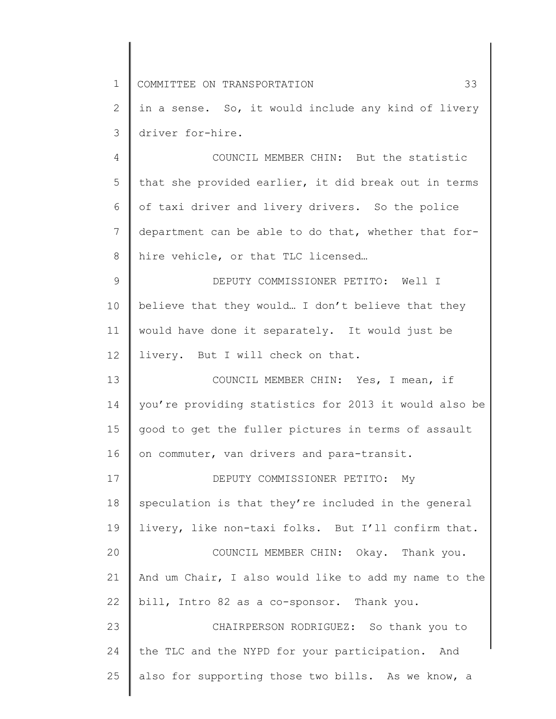1 2 3 4 5 6 7 8 9 10 11 12 13 14 15 16 17 18 19 20 21 22 23 24 25 COMMITTEE ON TRANSPORTATION 33 in a sense. So, it would include any kind of livery driver for-hire. COUNCIL MEMBER CHIN: But the statistic that she provided earlier, it did break out in terms of taxi driver and livery drivers. So the police department can be able to do that, whether that forhire vehicle, or that TLC licensed… DEPUTY COMMISSIONER PETITO: Well I believe that they would… I don't believe that they would have done it separately. It would just be livery. But I will check on that. COUNCIL MEMBER CHIN: Yes, I mean, if you're providing statistics for 2013 it would also be good to get the fuller pictures in terms of assault on commuter, van drivers and para-transit. DEPUTY COMMISSIONER PETITO: My speculation is that they're included in the general livery, like non-taxi folks. But I'll confirm that. COUNCIL MEMBER CHIN: Okay. Thank you. And um Chair, I also would like to add my name to the bill, Intro 82 as a co-sponsor. Thank you. CHAIRPERSON RODRIGUEZ: So thank you to the TLC and the NYPD for your participation. And also for supporting those two bills. As we know, a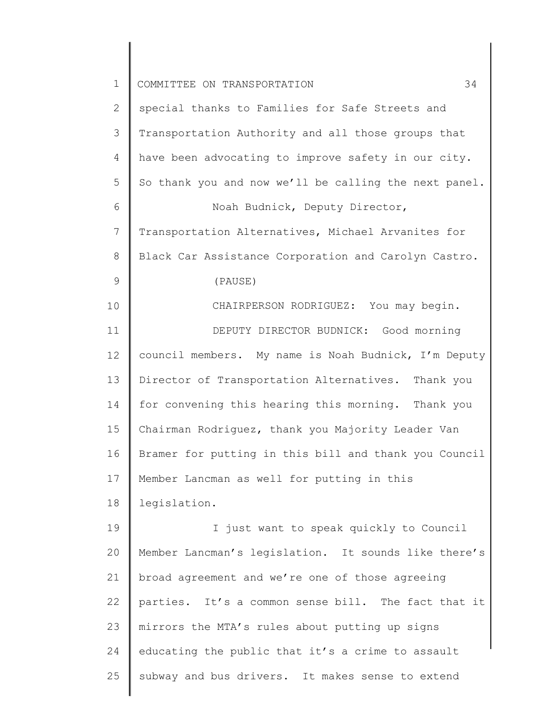| $\mathbf 1$    | 34<br>COMMITTEE ON TRANSPORTATION                     |
|----------------|-------------------------------------------------------|
| 2              | special thanks to Families for Safe Streets and       |
| 3              | Transportation Authority and all those groups that    |
| 4              | have been advocating to improve safety in our city.   |
| 5              | So thank you and now we'll be calling the next panel. |
| 6              | Noah Budnick, Deputy Director,                        |
| $7\phantom{.}$ | Transportation Alternatives, Michael Arvanites for    |
| 8              | Black Car Assistance Corporation and Carolyn Castro.  |
| $\mathcal{G}$  | (PAUSE)                                               |
| 10             | CHAIRPERSON RODRIGUEZ: You may begin.                 |
| 11             | DEPUTY DIRECTOR BUDNICK: Good morning                 |
| 12             | council members. My name is Noah Budnick, I'm Deputy  |
| 13             | Director of Transportation Alternatives. Thank you    |
| 14             | for convening this hearing this morning. Thank you    |
| 15             | Chairman Rodriguez, thank you Majority Leader Van     |
| 16             | Bramer for putting in this bill and thank you Council |
| 17             | Member Lancman as well for putting in this            |
| 18             | legislation.                                          |
| 19             | I just want to speak quickly to Council               |
| 20             | Member Lancman's legislation. It sounds like there's  |
| 21             | broad agreement and we're one of those agreeing       |
| 22             | parties. It's a common sense bill. The fact that it   |
| 23             | mirrors the MTA's rules about putting up signs        |
| 24             | educating the public that it's a crime to assault     |
| 25             | subway and bus drivers. It makes sense to extend      |
|                |                                                       |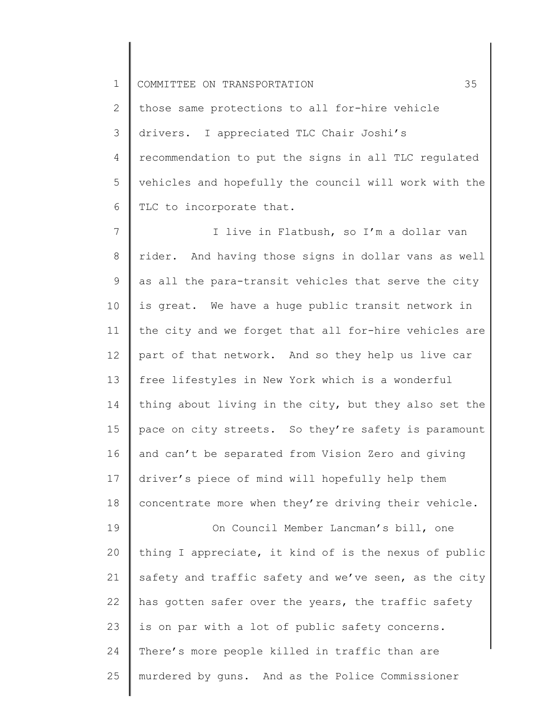2 3 4 5 6 those same protections to all for-hire vehicle drivers. I appreciated TLC Chair Joshi's recommendation to put the signs in all TLC regulated vehicles and hopefully the council will work with the TLC to incorporate that.

7 8 9 10 11 12 13 14 15 16 17 18 19 20 21 22 23 24 25 I live in Flatbush, so I'm a dollar van rider. And having those signs in dollar vans as well as all the para-transit vehicles that serve the city is great. We have a huge public transit network in the city and we forget that all for-hire vehicles are part of that network. And so they help us live car free lifestyles in New York which is a wonderful thing about living in the city, but they also set the pace on city streets. So they're safety is paramount and can't be separated from Vision Zero and giving driver's piece of mind will hopefully help them concentrate more when they're driving their vehicle. On Council Member Lancman's bill, one thing I appreciate, it kind of is the nexus of public safety and traffic safety and we've seen, as the city has gotten safer over the years, the traffic safety is on par with a lot of public safety concerns. There's more people killed in traffic than are murdered by guns. And as the Police Commissioner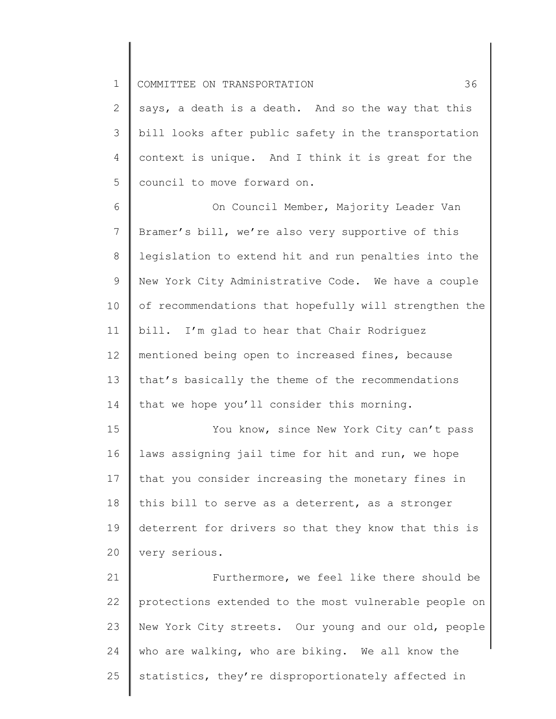2 3 4 5 says, a death is a death. And so the way that this bill looks after public safety in the transportation context is unique. And I think it is great for the council to move forward on.

6 7 8 9 10 11 12 13 14 On Council Member, Majority Leader Van Bramer's bill, we're also very supportive of this legislation to extend hit and run penalties into the New York City Administrative Code. We have a couple of recommendations that hopefully will strengthen the bill. I'm glad to hear that Chair Rodriguez mentioned being open to increased fines, because that's basically the theme of the recommendations that we hope you'll consider this morning.

15 16 17 18 19 20 You know, since New York City can't pass laws assigning jail time for hit and run, we hope that you consider increasing the monetary fines in this bill to serve as a deterrent, as a stronger deterrent for drivers so that they know that this is very serious.

21 22 23 24 25 Furthermore, we feel like there should be protections extended to the most vulnerable people on New York City streets. Our young and our old, people who are walking, who are biking. We all know the statistics, they're disproportionately affected in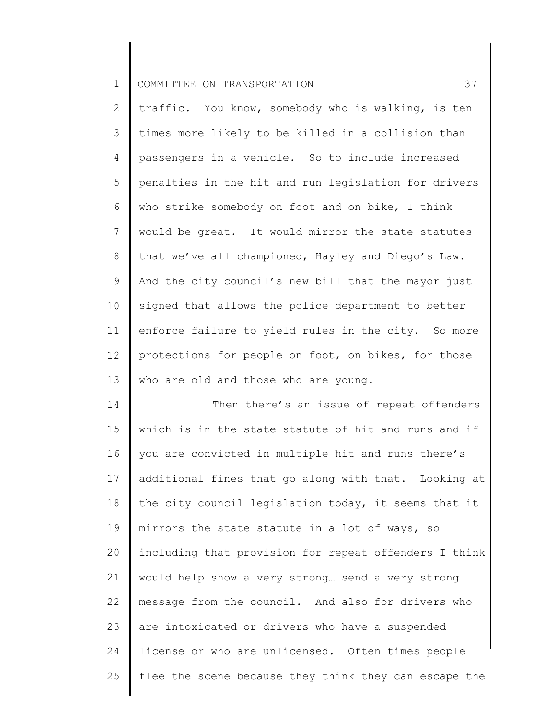2 3 4 5 6 7 8 9 10 11 12 13 traffic. You know, somebody who is walking, is ten times more likely to be killed in a collision than passengers in a vehicle. So to include increased penalties in the hit and run legislation for drivers who strike somebody on foot and on bike, I think would be great. It would mirror the state statutes that we've all championed, Hayley and Diego's Law. And the city council's new bill that the mayor just signed that allows the police department to better enforce failure to yield rules in the city. So more protections for people on foot, on bikes, for those who are old and those who are young.

14 15 16 17 18 19 20 21 22 23 24 25 Then there's an issue of repeat offenders which is in the state statute of hit and runs and if you are convicted in multiple hit and runs there's additional fines that go along with that. Looking at the city council legislation today, it seems that it mirrors the state statute in a lot of ways, so including that provision for repeat offenders I think would help show a very strong… send a very strong message from the council. And also for drivers who are intoxicated or drivers who have a suspended license or who are unlicensed. Often times people flee the scene because they think they can escape the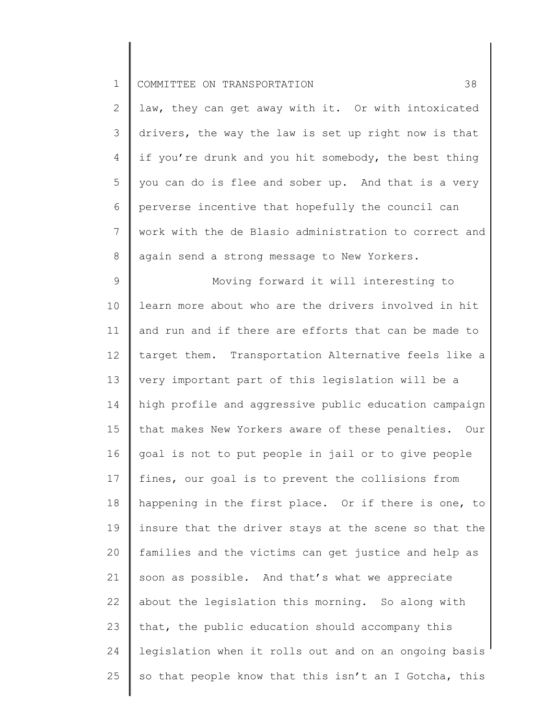| COMMITTEE ON TRANSPORTATION<br><b>__</b> |  |
|------------------------------------------|--|
|------------------------------------------|--|

2 3 4 5 6 7 8 law, they can get away with it. Or with intoxicated drivers, the way the law is set up right now is that if you're drunk and you hit somebody, the best thing you can do is flee and sober up. And that is a very perverse incentive that hopefully the council can work with the de Blasio administration to correct and again send a strong message to New Yorkers.

9 10 11 12 13 14 15 16 17 18 19 20 21 22 23 24 25 Moving forward it will interesting to learn more about who are the drivers involved in hit and run and if there are efforts that can be made to target them. Transportation Alternative feels like a very important part of this legislation will be a high profile and aggressive public education campaign that makes New Yorkers aware of these penalties. Our goal is not to put people in jail or to give people fines, our goal is to prevent the collisions from happening in the first place. Or if there is one, to insure that the driver stays at the scene so that the families and the victims can get justice and help as soon as possible. And that's what we appreciate about the legislation this morning. So along with that, the public education should accompany this legislation when it rolls out and on an ongoing basis so that people know that this isn't an I Gotcha, this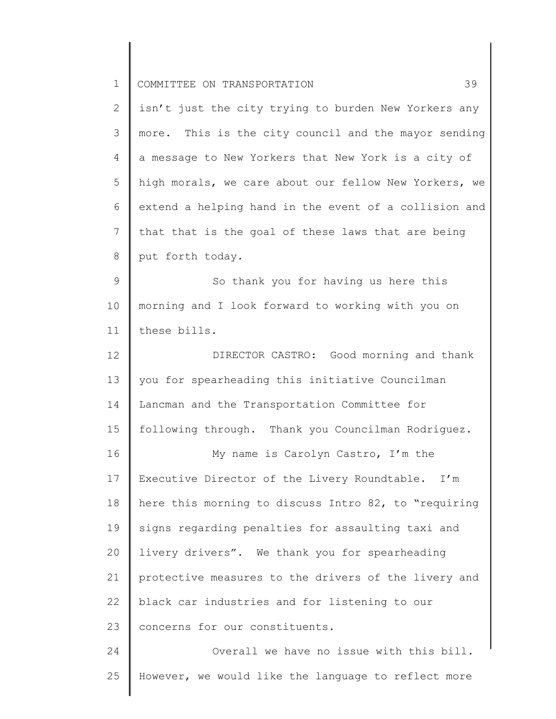| $\mathbf 1$    | 39<br>COMMITTEE ON TRANSPORTATION                     |
|----------------|-------------------------------------------------------|
| $\mathbf{2}$   | isn't just the city trying to burden New Yorkers any  |
| 3              | more. This is the city council and the mayor sending  |
| $\overline{4}$ | a message to New Yorkers that New York is a city of   |
| 5              | high morals, we care about our fellow New Yorkers, we |
| 6              | extend a helping hand in the event of a collision and |
| $7\phantom{.}$ | that that is the goal of these laws that are being    |
| $\,8\,$        | put forth today.                                      |
| $\mathcal{G}$  | So thank you for having us here this                  |
| 10             | morning and I look forward to working with you on     |
| 11             | these bills.                                          |
| 12             | DIRECTOR CASTRO: Good morning and thank               |
| 13             | you for spearheading this initiative Councilman       |
| 14             | Lancman and the Transportation Committee for          |
| 15             | following through. Thank you Councilman Rodriguez.    |
| 16             | My name is Carolyn Castro, I'm the                    |
| 17             | Executive Director of the Livery Roundtable. I'm      |
| 18             | here this morning to discuss Intro 82, to "requiring  |
| 19             | signs regarding penalties for assaulting taxi and     |
| 20             | livery drivers". We thank you for spearheading        |
| 21             | protective measures to the drivers of the livery and  |
| 22             | black car industries and for listening to our         |
| 23             | concerns for our constituents.                        |
| 24             | Overall we have no issue with this bill.              |
| 25             | However, we would like the language to reflect more   |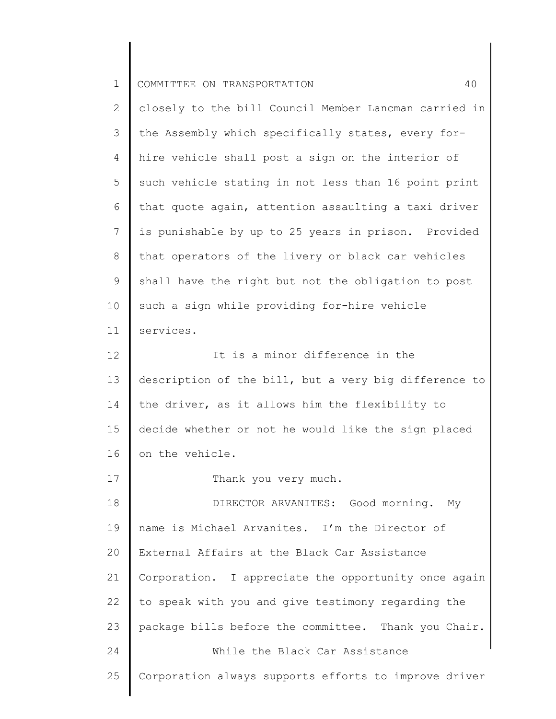| COMMITTEE ON TRANSPORTATION<br>ᅩ |  |
|----------------------------------|--|
|----------------------------------|--|

17

2 3 4 5 6 7 8 9 10 11 12 13 14 closely to the bill Council Member Lancman carried in the Assembly which specifically states, every forhire vehicle shall post a sign on the interior of such vehicle stating in not less than 16 point print that quote again, attention assaulting a taxi driver is punishable by up to 25 years in prison. Provided that operators of the livery or black car vehicles shall have the right but not the obligation to post such a sign while providing for-hire vehicle services. It is a minor difference in the description of the bill, but a very big difference to the driver, as it allows him the flexibility to

15 16 decide whether or not he would like the sign placed on the vehicle.

Thank you very much.

18 19 20 21 22 23 24 25 DIRECTOR ARVANITES: Good morning. My name is Michael Arvanites. I'm the Director of External Affairs at the Black Car Assistance Corporation. I appreciate the opportunity once again to speak with you and give testimony regarding the package bills before the committee. Thank you Chair. While the Black Car Assistance Corporation always supports efforts to improve driver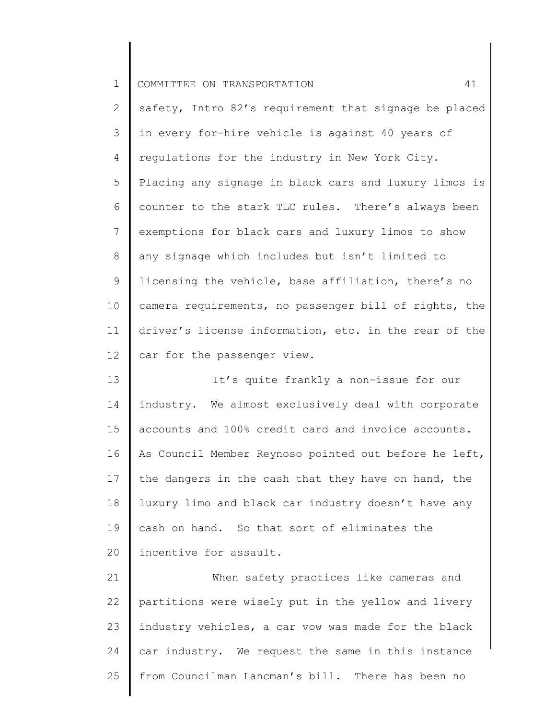2 3 4 5 6 7 8 9 10 11 12 safety, Intro 82's requirement that signage be placed in every for-hire vehicle is against 40 years of regulations for the industry in New York City. Placing any signage in black cars and luxury limos is counter to the stark TLC rules. There's always been exemptions for black cars and luxury limos to show any signage which includes but isn't limited to licensing the vehicle, base affiliation, there's no camera requirements, no passenger bill of rights, the driver's license information, etc. in the rear of the car for the passenger view.

13 14 15 16 17 18 19 20 It's quite frankly a non-issue for our industry. We almost exclusively deal with corporate accounts and 100% credit card and invoice accounts. As Council Member Reynoso pointed out before he left, the dangers in the cash that they have on hand, the luxury limo and black car industry doesn't have any cash on hand. So that sort of eliminates the incentive for assault.

21 22 23 24 25 When safety practices like cameras and partitions were wisely put in the yellow and livery industry vehicles, a car vow was made for the black car industry. We request the same in this instance from Councilman Lancman's bill. There has been no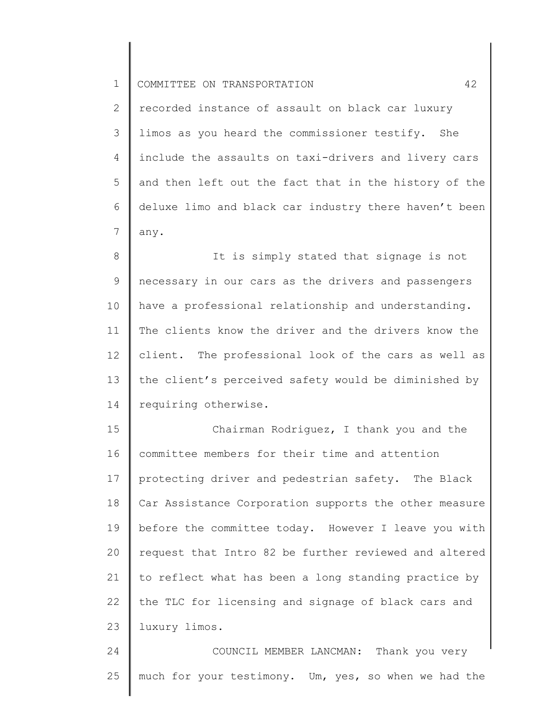2 3 4 5 6 7 recorded instance of assault on black car luxury limos as you heard the commissioner testify. She include the assaults on taxi-drivers and livery cars and then left out the fact that in the history of the deluxe limo and black car industry there haven't been any.

8 9 10 11 12 13 14 It is simply stated that signage is not necessary in our cars as the drivers and passengers have a professional relationship and understanding. The clients know the driver and the drivers know the client. The professional look of the cars as well as the client's perceived safety would be diminished by requiring otherwise.

15 16 17 18 19 20 21 22 23 Chairman Rodriguez, I thank you and the committee members for their time and attention protecting driver and pedestrian safety. The Black Car Assistance Corporation supports the other measure before the committee today. However I leave you with request that Intro 82 be further reviewed and altered to reflect what has been a long standing practice by the TLC for licensing and signage of black cars and luxury limos.

24 25 COUNCIL MEMBER LANCMAN: Thank you very much for your testimony. Um, yes, so when we had the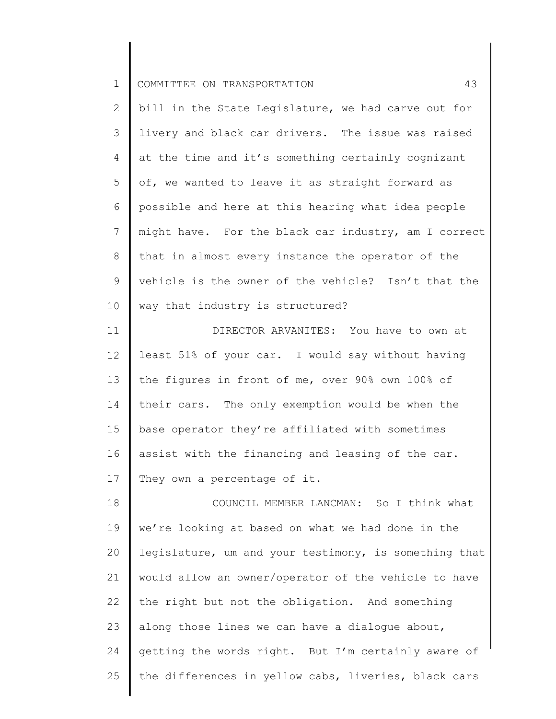2 3 4 5 6 7 8 9 10 bill in the State Legislature, we had carve out for livery and black car drivers. The issue was raised at the time and it's something certainly cognizant of, we wanted to leave it as straight forward as possible and here at this hearing what idea people might have. For the black car industry, am I correct that in almost every instance the operator of the vehicle is the owner of the vehicle? Isn't that the way that industry is structured?

11 12 13 14 15 16 17 DIRECTOR ARVANITES: You have to own at least 51% of your car. I would say without having the figures in front of me, over 90% own 100% of their cars. The only exemption would be when the base operator they're affiliated with sometimes assist with the financing and leasing of the car. They own a percentage of it.

18 19 20 21 22 23 24 25 COUNCIL MEMBER LANCMAN: So I think what we're looking at based on what we had done in the legislature, um and your testimony, is something that would allow an owner/operator of the vehicle to have the right but not the obligation. And something along those lines we can have a dialogue about, getting the words right. But I'm certainly aware of the differences in yellow cabs, liveries, black cars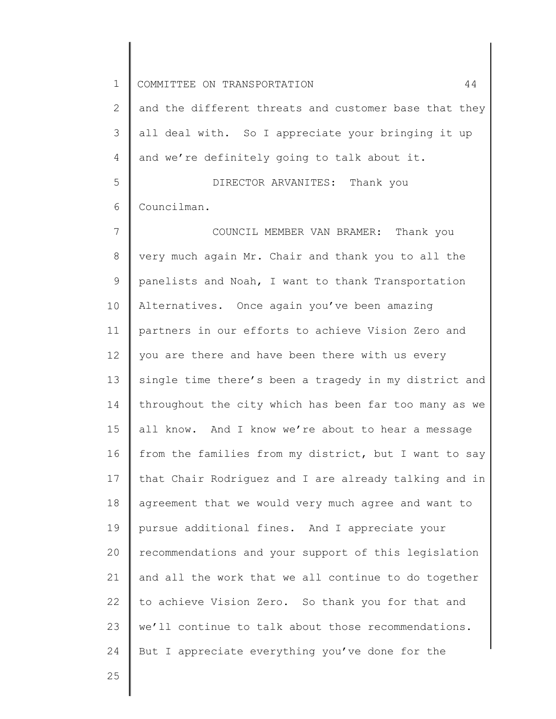2 3 4 and the different threats and customer base that they all deal with. So I appreciate your bringing it up and we're definitely going to talk about it.

5 6 DIRECTOR ARVANITES: Thank you Councilman.

7 8 9 10 11 12 13 14 15 16 17 18 19 20 21 22 23 24 COUNCIL MEMBER VAN BRAMER: Thank you very much again Mr. Chair and thank you to all the panelists and Noah, I want to thank Transportation Alternatives. Once again you've been amazing partners in our efforts to achieve Vision Zero and you are there and have been there with us every single time there's been a tragedy in my district and throughout the city which has been far too many as we all know. And I know we're about to hear a message from the families from my district, but I want to say that Chair Rodriguez and I are already talking and in agreement that we would very much agree and want to pursue additional fines. And I appreciate your recommendations and your support of this legislation and all the work that we all continue to do together to achieve Vision Zero. So thank you for that and we'll continue to talk about those recommendations. But I appreciate everything you've done for the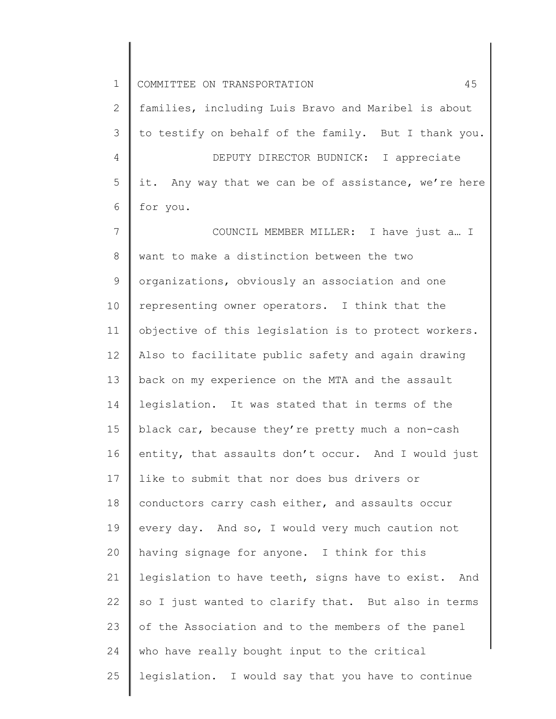2 3 4 5 6 families, including Luis Bravo and Maribel is about to testify on behalf of the family. But I thank you. DEPUTY DIRECTOR BUDNICK: I appreciate it. Any way that we can be of assistance, we're here for you.

7 8 9 10 11 12 13 14 15 16 17 18 19 20 21 22 23 24 25 COUNCIL MEMBER MILLER: I have just a… I want to make a distinction between the two organizations, obviously an association and one representing owner operators. I think that the objective of this legislation is to protect workers. Also to facilitate public safety and again drawing back on my experience on the MTA and the assault legislation. It was stated that in terms of the black car, because they're pretty much a non-cash entity, that assaults don't occur. And I would just like to submit that nor does bus drivers or conductors carry cash either, and assaults occur every day. And so, I would very much caution not having signage for anyone. I think for this legislation to have teeth, signs have to exist. And so I just wanted to clarify that. But also in terms of the Association and to the members of the panel who have really bought input to the critical legislation. I would say that you have to continue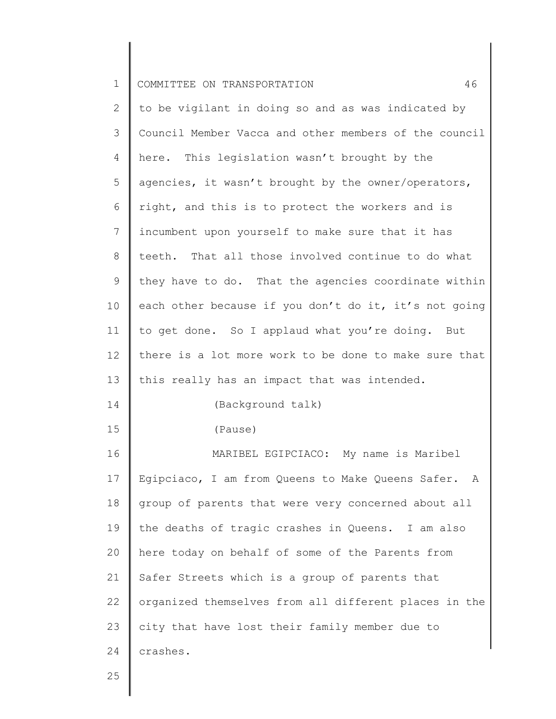2 3 4 5 6 7 8 9 10 11 12 13 14 15 16 17 18 19 20 21 22 23 24 to be vigilant in doing so and as was indicated by Council Member Vacca and other members of the council here. This legislation wasn't brought by the agencies, it wasn't brought by the owner/operators, right, and this is to protect the workers and is incumbent upon yourself to make sure that it has teeth. That all those involved continue to do what they have to do. That the agencies coordinate within each other because if you don't do it, it's not going to get done. So I applaud what you're doing. But there is a lot more work to be done to make sure that this really has an impact that was intended. (Background talk) (Pause) MARIBEL EGIPCIACO: My name is Maribel Egipciaco, I am from Queens to Make Queens Safer. A group of parents that were very concerned about all the deaths of tragic crashes in Queens. I am also here today on behalf of some of the Parents from Safer Streets which is a group of parents that organized themselves from all different places in the city that have lost their family member due to crashes.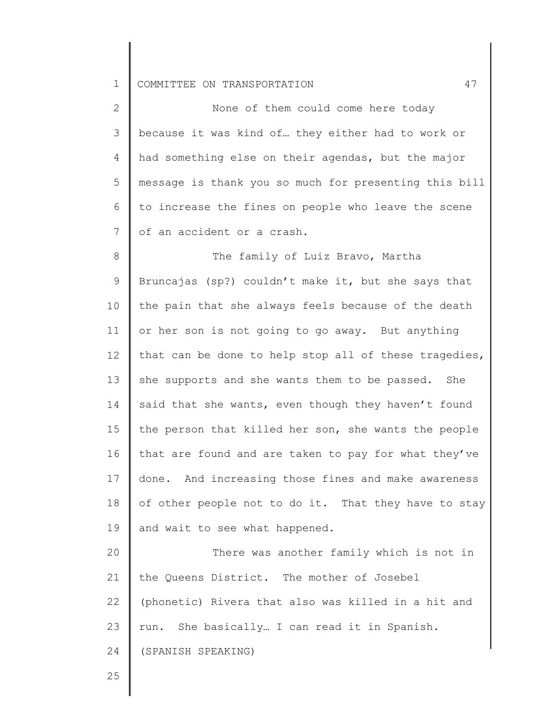| $\mathbf{2}$ | None of them could come here today                    |
|--------------|-------------------------------------------------------|
| 3            | because it was kind of they either had to work or     |
| 4            | had something else on their agendas, but the major    |
| 5            | message is thank you so much for presenting this bill |
| 6            | to increase the fines on people who leave the scene   |
| 7            | of an accident or a crash.                            |
| 8            | The family of Luiz Bravo, Martha                      |
| 9            | Bruncajas (sp?) couldn't make it, but she says that   |
| 10           | the pain that she always feels because of the death   |
| 11           | or her son is not going to go away. But anything      |
| 12           | that can be done to help stop all of these tragedies, |
| 13           | she supports and she wants them to be passed. She     |
| 14           | said that she wants, even though they haven't found   |
| 15           | the person that killed her son, she wants the people  |
| 16           | that are found and are taken to pay for what they've  |
| 17           | done. And increasing those fines and make awareness   |
| 18           | of other people not to do it. That they have to stay  |
| 19           | and wait to see what happened.                        |
| 20           | There was another family which is not in              |
| 21           | the Queens District. The mother of Josebel            |
| 22           | (phonetic) Rivera that also was killed in a hit and   |
| 23           | run. She basically I can read it in Spanish.          |
| 24           | (SPANISH SPEAKING)                                    |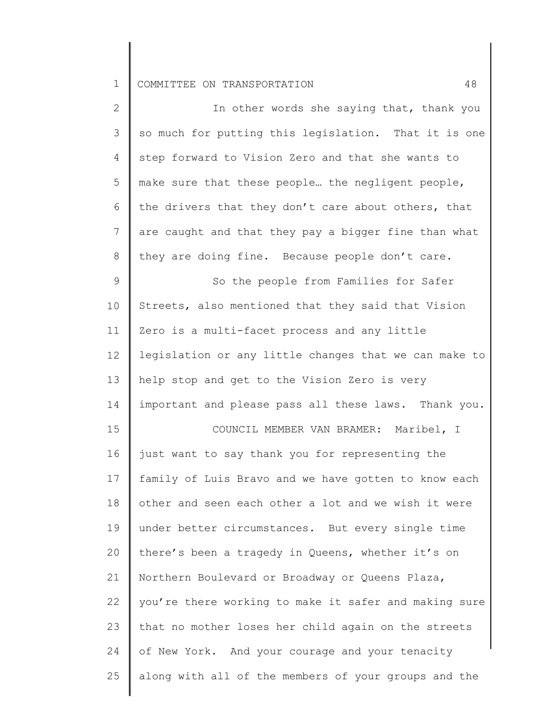25

| $\mathbf{2}$ | In other words she saying that, thank you             |
|--------------|-------------------------------------------------------|
| 3            | so much for putting this legislation. That it is one  |
| 4            | step forward to Vision Zero and that she wants to     |
| 5            | make sure that these people the negligent people,     |
| 6            | the drivers that they don't care about others, that   |
| 7            | are caught and that they pay a bigger fine than what  |
| $8\,$        | they are doing fine. Because people don't care.       |
| 9            | So the people from Families for Safer                 |
| 10           | Streets, also mentioned that they said that Vision    |
| 11           | Zero is a multi-facet process and any little          |
| 12           | legislation or any little changes that we can make to |
| 13           | help stop and get to the Vision Zero is very          |
| 14           | important and please pass all these laws. Thank you.  |
| 15           | COUNCIL MEMBER VAN BRAMER: Maribel, I                 |
| 16           | just want to say thank you for representing the       |
| 17           | family of Luis Bravo and we have gotten to know each  |
| 18           | other and seen each other a lot and we wish it were   |
| 19           | under better circumstances. But every single time     |
| 20           | there's been a tragedy in Queens, whether it's on     |
| 21           | Northern Boulevard or Broadway or Queens Plaza,       |
| 22           | you're there working to make it safer and making sure |
| 23           | that no mother loses her child again on the streets   |
| 24           | of New York. And your courage and your tenacity       |
|              |                                                       |

along with all of the members of your groups and the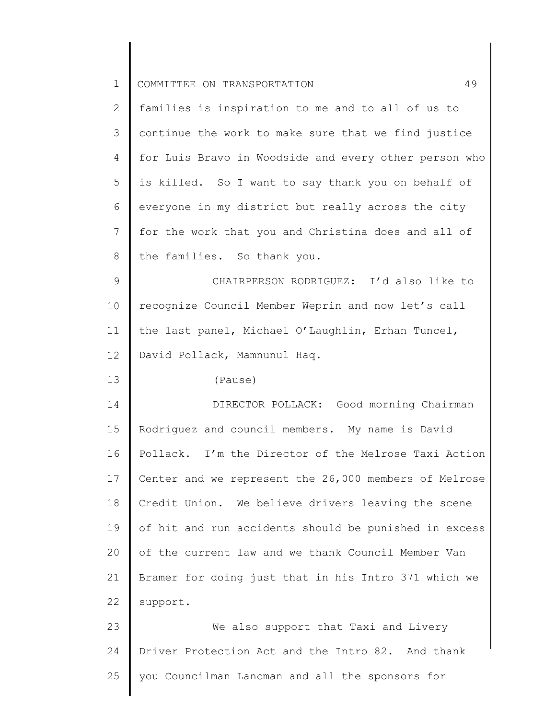| $\mathbf 1$    | 49<br>COMMITTEE ON TRANSPORTATION                     |
|----------------|-------------------------------------------------------|
| $\mathbf{2}$   | families is inspiration to me and to all of us to     |
| 3              | continue the work to make sure that we find justice   |
| $\overline{4}$ | for Luis Bravo in Woodside and every other person who |
| 5              | is killed. So I want to say thank you on behalf of    |
| 6              | everyone in my district but really across the city    |
| 7              | for the work that you and Christina does and all of   |
| 8              | the families. So thank you.                           |
| $\mathsf 9$    | CHAIRPERSON RODRIGUEZ: I'd also like to               |
| 10             | recognize Council Member Weprin and now let's call    |
| 11             | the last panel, Michael O'Laughlin, Erhan Tuncel,     |
| 12             | David Pollack, Mamnunul Haq.                          |
| 13             | (Pause)                                               |
| 14             | DIRECTOR POLLACK: Good morning Chairman               |
| 15             | Rodriguez and council members. My name is David       |
| 16             | Pollack. I'm the Director of the Melrose Taxi Action  |
| 17             | Center and we represent the 26,000 members of Melrose |
| 18             | Credit Union. We believe drivers leaving the scene    |
| 19             | of hit and run accidents should be punished in excess |
| 20             | of the current law and we thank Council Member Van    |
| 21             | Bramer for doing just that in his Intro 371 which we  |
| 22             | support.                                              |
| 23             | We also support that Taxi and Livery                  |
| 24             | Driver Protection Act and the Intro 82. And thank     |
| 25             | you Councilman Lancman and all the sponsors for       |
|                |                                                       |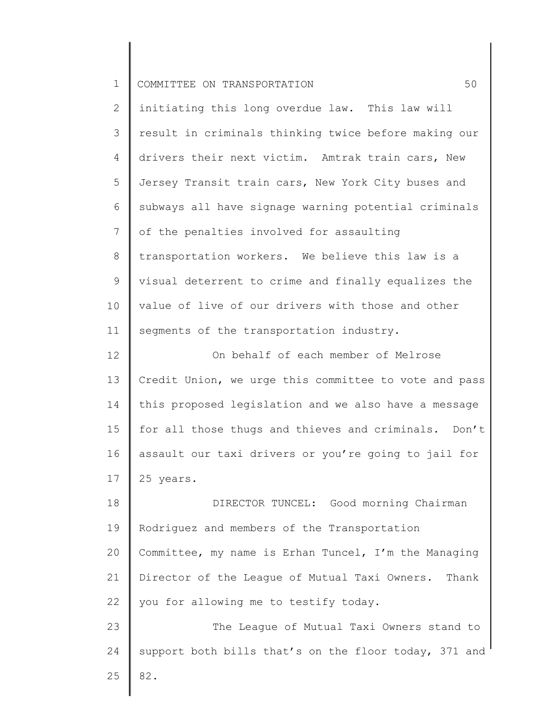| ᅩ |  |  | COMMITTEE ON TRANSPORTATION |  |
|---|--|--|-----------------------------|--|
|---|--|--|-----------------------------|--|

| $\overline{2}$ | initiating this long overdue law. This law will       |
|----------------|-------------------------------------------------------|
| 3              | result in criminals thinking twice before making our  |
| 4              | drivers their next victim. Amtrak train cars, New     |
| 5              | Jersey Transit train cars, New York City buses and    |
| 6              | subways all have signage warning potential criminals  |
| 7              | of the penalties involved for assaulting              |
| 8              | transportation workers. We believe this law is a      |
| 9              | visual deterrent to crime and finally equalizes the   |
| 10             | value of live of our drivers with those and other     |
| 11             | segments of the transportation industry.              |
| 12             | On behalf of each member of Melrose                   |
| 13             | Credit Union, we urge this committee to vote and pass |
| 14             | this proposed legislation and we also have a message  |
| 15             | for all those thugs and thieves and criminals. Don't  |
| 16             | assault our taxi drivers or you're going to jail for  |
| 17             | 25 years.                                             |
| 18             | DIRECTOR TUNCEL: Good morning Chairman                |
| 19             | Rodriguez and members of the Transportation           |
| 20             | Committee, my name is Erhan Tuncel, I'm the Managing  |

22 you for allowing me to testify today.

21

23 24 25 The League of Mutual Taxi Owners stand to support both bills that's on the floor today, 371 and 82.

Director of the League of Mutual Taxi Owners. Thank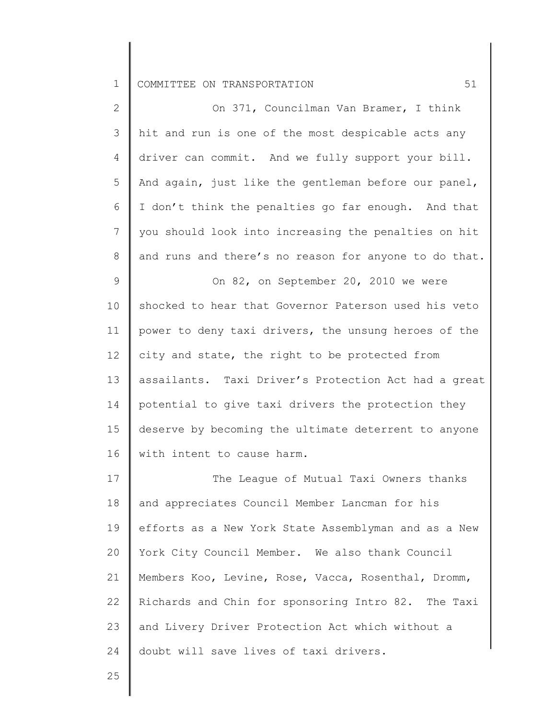| $\overline{2}$ | On 371, Councilman Van Bramer, I think                |
|----------------|-------------------------------------------------------|
| 3              | hit and run is one of the most despicable acts any    |
| 4              | driver can commit. And we fully support your bill.    |
| 5              | And again, just like the gentleman before our panel,  |
| 6              | I don't think the penalties go far enough. And that   |
| 7              | you should look into increasing the penalties on hit  |
| 8              | and runs and there's no reason for anyone to do that. |
| 9              | On 82, on September 20, 2010 we were                  |
| 10             | shocked to hear that Governor Paterson used his veto  |
| 11             | power to deny taxi drivers, the unsung heroes of the  |
| 12             | city and state, the right to be protected from        |
| 13             | assailants. Taxi Driver's Protection Act had a great  |
| 14             | potential to give taxi drivers the protection they    |
| 15             | deserve by becoming the ultimate deterrent to anyone  |
| 16             | with intent to cause harm.                            |
| 17             | The League of Mutual Taxi Owners thanks               |
| 18             | and appreciates Council Member Lancman for his        |
| 19             | efforts as a New York State Assemblyman and as a New  |
| 20             | York City Council Member. We also thank Council       |

21 22 23 24 Members Koo, Levine, Rose, Vacca, Rosenthal, Dromm, Richards and Chin for sponsoring Intro 82. The Taxi and Livery Driver Protection Act which without a doubt will save lives of taxi drivers.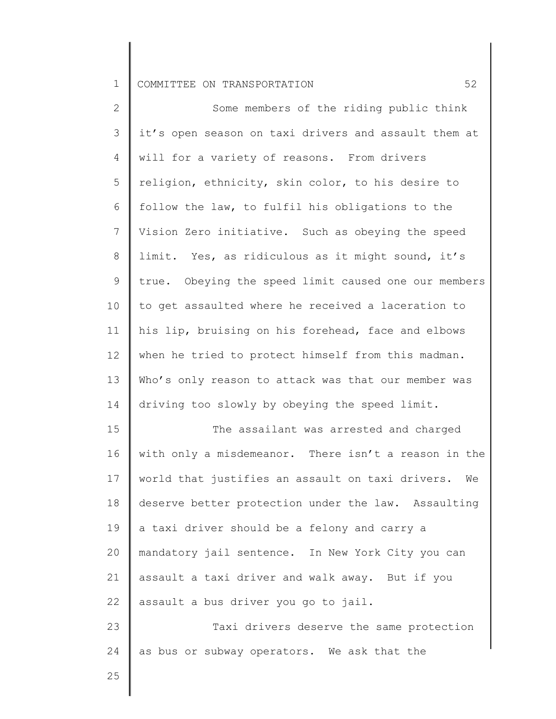| $\overline{2}$ | Some members of the riding public think                |
|----------------|--------------------------------------------------------|
| 3              | it's open season on taxi drivers and assault them at   |
| 4              | will for a variety of reasons. From drivers            |
| 5              | religion, ethnicity, skin color, to his desire to      |
| 6              | follow the law, to fulfil his obligations to the       |
| $7\phantom{.}$ | Vision Zero initiative. Such as obeying the speed      |
| $8\,$          | limit. Yes, as ridiculous as it might sound, it's      |
| $\mathsf 9$    | true. Obeying the speed limit caused one our members   |
| 10             | to get assaulted where he received a laceration to     |
| 11             | his lip, bruising on his forehead, face and elbows     |
| 12             | when he tried to protect himself from this madman.     |
| 13             | Who's only reason to attack was that our member was    |
| 14             | driving too slowly by obeying the speed limit.         |
| 15             | The assailant was arrested and charged                 |
| 16             | with only a misdemeanor. There isn't a reason in the   |
| 17             | world that justifies an assault on taxi drivers.<br>We |
| 18             | deserve better protection under the law. Assaulting    |
| 19             | a taxi driver should be a felony and carry a           |
| 20             | mandatory jail sentence. In New York City you can      |
| 21             | assault a taxi driver and walk away. But if you        |
| 22             | assault a bus driver you go to jail.                   |
| 23             | Taxi drivers deserve the same protection               |
| 24             | as bus or subway operators. We ask that the            |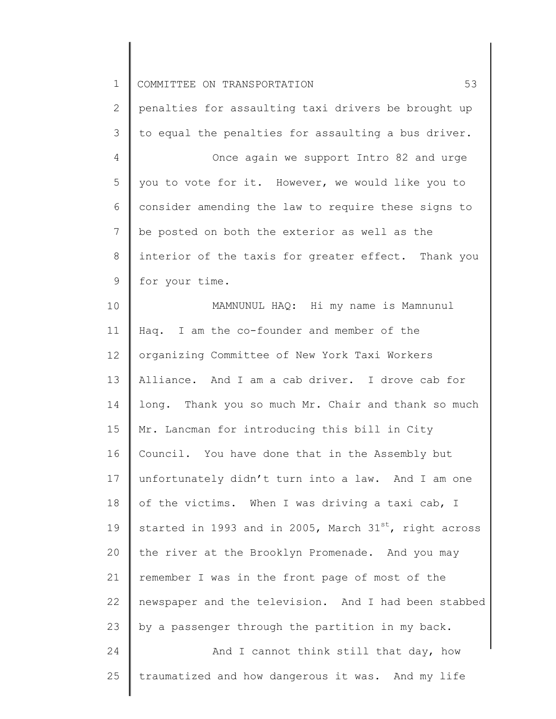| $\mathbf 1$     | 53<br>COMMITTEE ON TRANSPORTATION                                  |
|-----------------|--------------------------------------------------------------------|
| $\mathbf{2}$    | penalties for assaulting taxi drivers be brought up                |
| 3               | to equal the penalties for assaulting a bus driver.                |
| 4               | Once again we support Intro 82 and urge                            |
| 5               | you to vote for it. However, we would like you to                  |
| 6               | consider amending the law to require these signs to                |
| 7               | be posted on both the exterior as well as the                      |
| 8               | interior of the taxis for greater effect. Thank you                |
| 9               | for your time.                                                     |
| 10              | MAMNUNUL HAQ: Hi my name is Mamnunul                               |
| 11              | Haq. I am the co-founder and member of the                         |
| 12 <sup>°</sup> | organizing Committee of New York Taxi Workers                      |
| 13              | Alliance. And I am a cab driver. I drove cab for                   |
| 14              | long. Thank you so much Mr. Chair and thank so much                |
| 15              | Mr. Lancman for introducing this bill in City                      |
| 16              | Council. You have done that in the Assembly but                    |
| 17              | unfortunately didn't turn into a law. And I am one                 |
| 18              | of the victims. When I was driving a taxi cab, I                   |
| 19              | started in 1993 and in 2005, March 31 <sup>st</sup> , right across |
| 20              | the river at the Brooklyn Promenade. And you may                   |
| 21              | remember I was in the front page of most of the                    |
| 22              | newspaper and the television. And I had been stabbed               |
| 23              | by a passenger through the partition in my back.                   |
| 24              | And I cannot think still that day, how                             |
| 25              | traumatized and how dangerous it was. And my life                  |
|                 |                                                                    |

║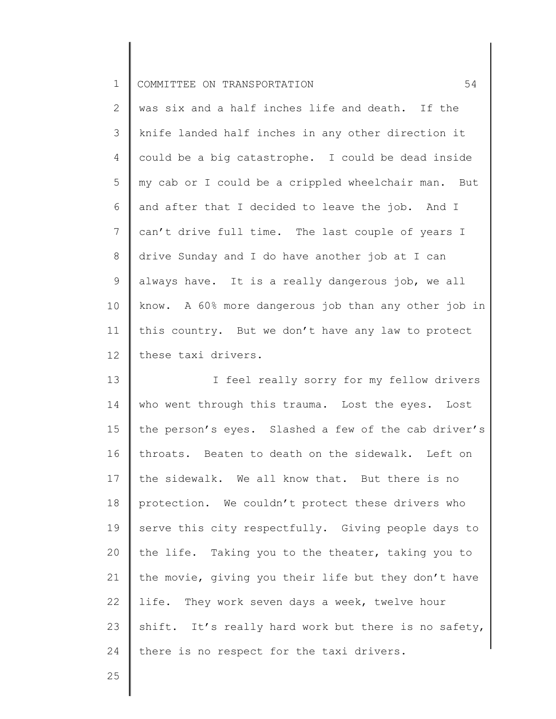| I COMMITTEE ON TRANSPORTATION<br>ᅩ |  |
|------------------------------------|--|
|------------------------------------|--|

2 3 4 5 6 7 8 9 10 11 12 was six and a half inches life and death. If the knife landed half inches in any other direction it could be a big catastrophe. I could be dead inside my cab or I could be a crippled wheelchair man. But and after that I decided to leave the job. And I can't drive full time. The last couple of years I drive Sunday and I do have another job at I can always have. It is a really dangerous job, we all know. A 60% more dangerous job than any other job in this country. But we don't have any law to protect these taxi drivers.

13 14 15 16 17 18 19 20 21 22 23 24 I feel really sorry for my fellow drivers who went through this trauma. Lost the eyes. Lost the person's eyes. Slashed a few of the cab driver's throats. Beaten to death on the sidewalk. Left on the sidewalk. We all know that. But there is no protection. We couldn't protect these drivers who serve this city respectfully. Giving people days to the life. Taking you to the theater, taking you to the movie, giving you their life but they don't have life. They work seven days a week, twelve hour shift. It's really hard work but there is no safety, there is no respect for the taxi drivers.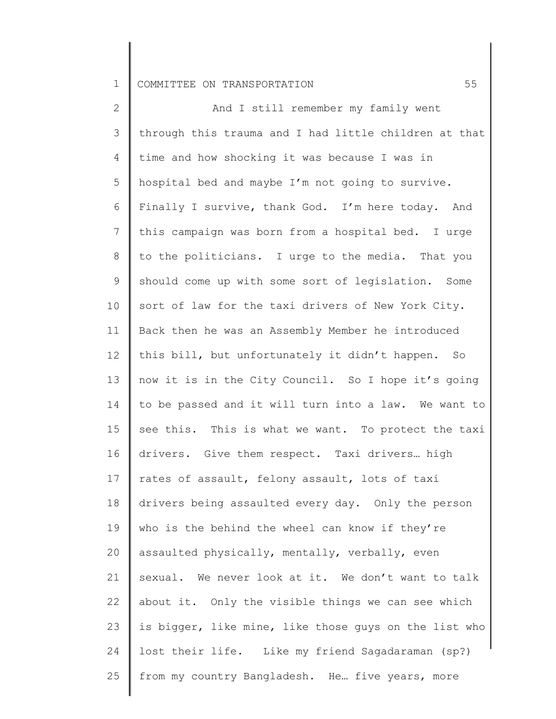2 3 4 5 6 7 8 9 10 11 12 13 14 15 16 17 18 19 20 21 22 23 24 25 And I still remember my family went through this trauma and I had little children at that time and how shocking it was because I was in hospital bed and maybe I'm not going to survive. Finally I survive, thank God. I'm here today. And this campaign was born from a hospital bed. I urge to the politicians. I urge to the media. That you should come up with some sort of legislation. Some sort of law for the taxi drivers of New York City. Back then he was an Assembly Member he introduced this bill, but unfortunately it didn't happen. So now it is in the City Council. So I hope it's going to be passed and it will turn into a law. We want to see this. This is what we want. To protect the taxi drivers. Give them respect. Taxi drivers… high rates of assault, felony assault, lots of taxi drivers being assaulted every day. Only the person who is the behind the wheel can know if they're assaulted physically, mentally, verbally, even sexual. We never look at it. We don't want to talk about it. Only the visible things we can see which is bigger, like mine, like those guys on the list who lost their life. Like my friend Sagadaraman (sp?) from my country Bangladesh. He… five years, more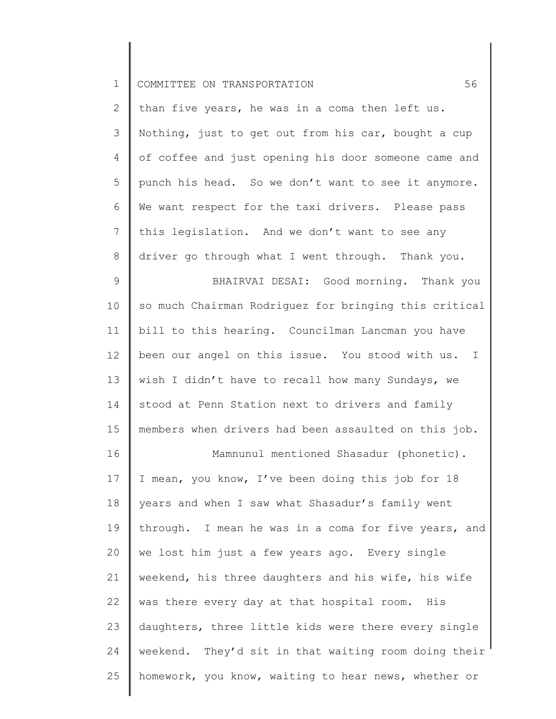| ᅩ |  |  | I COMMITTEE ON TRANSPORTATION |  |
|---|--|--|-------------------------------|--|
|---|--|--|-------------------------------|--|

16

2 3 4 5 6 7 8 than five years, he was in a coma then left us. Nothing, just to get out from his car, bought a cup of coffee and just opening his door someone came and punch his head. So we don't want to see it anymore. We want respect for the taxi drivers. Please pass this legislation. And we don't want to see any driver go through what I went through. Thank you.

9 10 11 12 13 14 15 BHAIRVAI DESAI: Good morning. Thank you so much Chairman Rodriguez for bringing this critical bill to this hearing. Councilman Lancman you have been our angel on this issue. You stood with us. I wish I didn't have to recall how many Sundays, we stood at Penn Station next to drivers and family members when drivers had been assaulted on this job.

Mamnunul mentioned Shasadur (phonetic).

17 18 19 20 21 22 23 24 25 I mean, you know, I've been doing this job for 18 years and when I saw what Shasadur's family went through. I mean he was in a coma for five years, and we lost him just a few years ago. Every single weekend, his three daughters and his wife, his wife was there every day at that hospital room. His daughters, three little kids were there every single weekend. They'd sit in that waiting room doing their homework, you know, waiting to hear news, whether or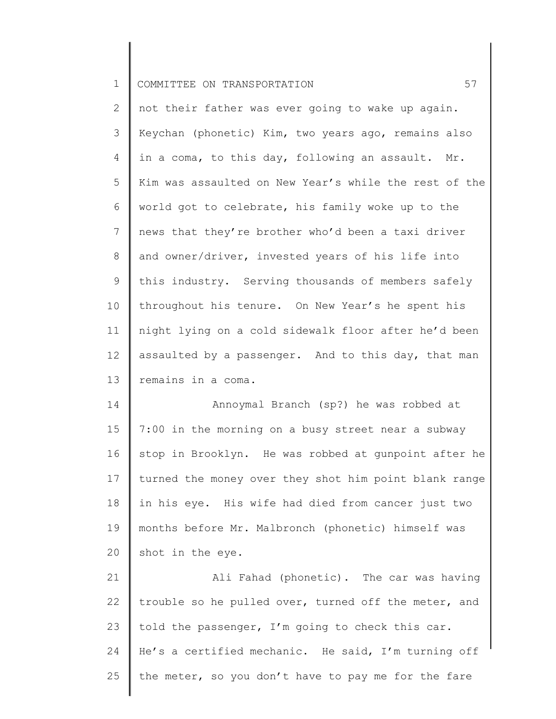2 3 4 5 6 7 8 9 10 11 12 13 not their father was ever going to wake up again. Keychan (phonetic) Kim, two years ago, remains also in a coma, to this day, following an assault. Mr. Kim was assaulted on New Year's while the rest of the world got to celebrate, his family woke up to the news that they're brother who'd been a taxi driver and owner/driver, invested years of his life into this industry. Serving thousands of members safely throughout his tenure. On New Year's he spent his night lying on a cold sidewalk floor after he'd been assaulted by a passenger. And to this day, that man remains in a coma.

14 15 16 17 18 19 20 Annoymal Branch (sp?) he was robbed at 7:00 in the morning on a busy street near a subway stop in Brooklyn. He was robbed at gunpoint after he turned the money over they shot him point blank range in his eye. His wife had died from cancer just two months before Mr. Malbronch (phonetic) himself was shot in the eye.

21 22 23 24 25 Ali Fahad (phonetic). The car was having trouble so he pulled over, turned off the meter, and told the passenger, I'm going to check this car. He's a certified mechanic. He said, I'm turning off the meter, so you don't have to pay me for the fare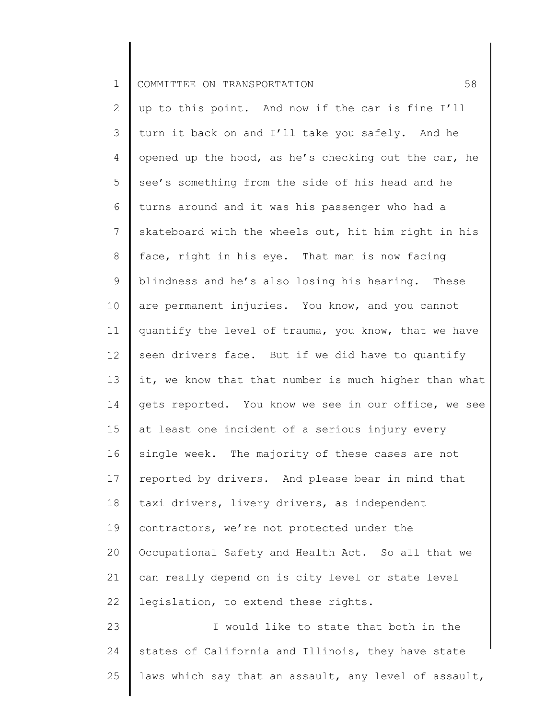24

25

2 3 4 5 6 7 8 9 10 11 12 13 14 15 16 17 18 19 20 21 22 23 up to this point. And now if the car is fine I'll turn it back on and I'll take you safely. And he opened up the hood, as he's checking out the car, he see's something from the side of his head and he turns around and it was his passenger who had a skateboard with the wheels out, hit him right in his face, right in his eye. That man is now facing blindness and he's also losing his hearing. These are permanent injuries. You know, and you cannot quantify the level of trauma, you know, that we have seen drivers face. But if we did have to quantify it, we know that that number is much higher than what gets reported. You know we see in our office, we see at least one incident of a serious injury every single week. The majority of these cases are not reported by drivers. And please bear in mind that taxi drivers, livery drivers, as independent contractors, we're not protected under the Occupational Safety and Health Act. So all that we can really depend on is city level or state level legislation, to extend these rights. I would like to state that both in the states of California and Illinois, they have state

laws which say that an assault, any level of assault,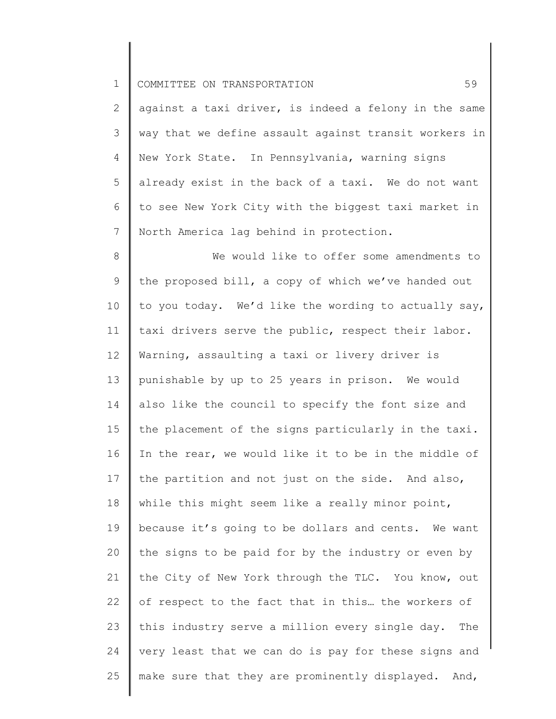2 3 4 5 6 7 against a taxi driver, is indeed a felony in the same way that we define assault against transit workers in New York State. In Pennsylvania, warning signs already exist in the back of a taxi. We do not want to see New York City with the biggest taxi market in North America lag behind in protection.

8 9 10 11 12 13 14 15 16 17 18 19 20 21 22 23 24 25 We would like to offer some amendments to the proposed bill, a copy of which we've handed out to you today. We'd like the wording to actually say, taxi drivers serve the public, respect their labor. Warning, assaulting a taxi or livery driver is punishable by up to 25 years in prison. We would also like the council to specify the font size and the placement of the signs particularly in the taxi. In the rear, we would like it to be in the middle of the partition and not just on the side. And also, while this might seem like a really minor point, because it's going to be dollars and cents. We want the signs to be paid for by the industry or even by the City of New York through the TLC. You know, out of respect to the fact that in this… the workers of this industry serve a million every single day. The very least that we can do is pay for these signs and make sure that they are prominently displayed. And,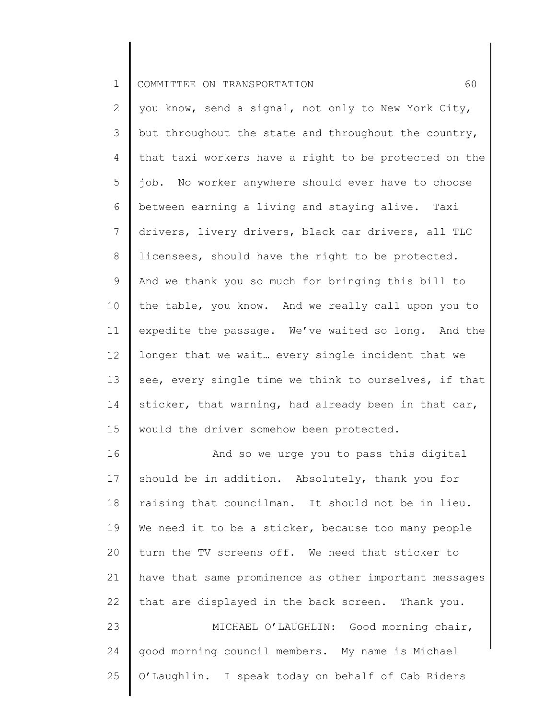2 3 4 5 6 7 8 9 10 11 12 13 14 15 you know, send a signal, not only to New York City, but throughout the state and throughout the country, that taxi workers have a right to be protected on the job. No worker anywhere should ever have to choose between earning a living and staying alive. Taxi drivers, livery drivers, black car drivers, all TLC licensees, should have the right to be protected. And we thank you so much for bringing this bill to the table, you know. And we really call upon you to expedite the passage. We've waited so long. And the longer that we wait… every single incident that we see, every single time we think to ourselves, if that sticker, that warning, had already been in that car, would the driver somehow been protected.

16 17 18 19 20 21 22 23 24 And so we urge you to pass this digital should be in addition. Absolutely, thank you for raising that councilman. It should not be in lieu. We need it to be a sticker, because too many people turn the TV screens off. We need that sticker to have that same prominence as other important messages that are displayed in the back screen. Thank you. MICHAEL O'LAUGHLIN: Good morning chair, good morning council members. My name is Michael

O'Laughlin. I speak today on behalf of Cab Riders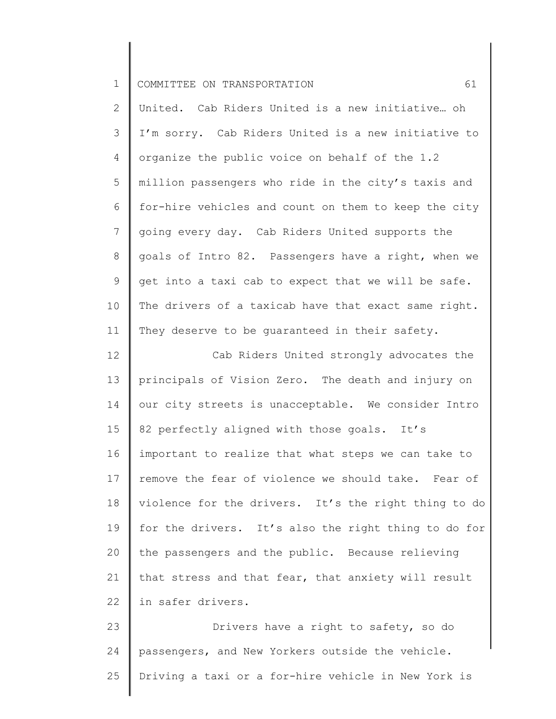2 3 4 5 6 7 8 9 10 11 United. Cab Riders United is a new initiative… oh I'm sorry. Cab Riders United is a new initiative to organize the public voice on behalf of the 1.2 million passengers who ride in the city's taxis and for-hire vehicles and count on them to keep the city going every day. Cab Riders United supports the goals of Intro 82. Passengers have a right, when we get into a taxi cab to expect that we will be safe. The drivers of a taxicab have that exact same right. They deserve to be quaranteed in their safety.

12 13 14 15 16 17 18 19 20 21 22 Cab Riders United strongly advocates the principals of Vision Zero. The death and injury on our city streets is unacceptable. We consider Intro 82 perfectly aligned with those goals. It's important to realize that what steps we can take to remove the fear of violence we should take. Fear of violence for the drivers. It's the right thing to do for the drivers. It's also the right thing to do for the passengers and the public. Because relieving that stress and that fear, that anxiety will result in safer drivers.

23 24 25 Drivers have a right to safety, so do passengers, and New Yorkers outside the vehicle. Driving a taxi or a for-hire vehicle in New York is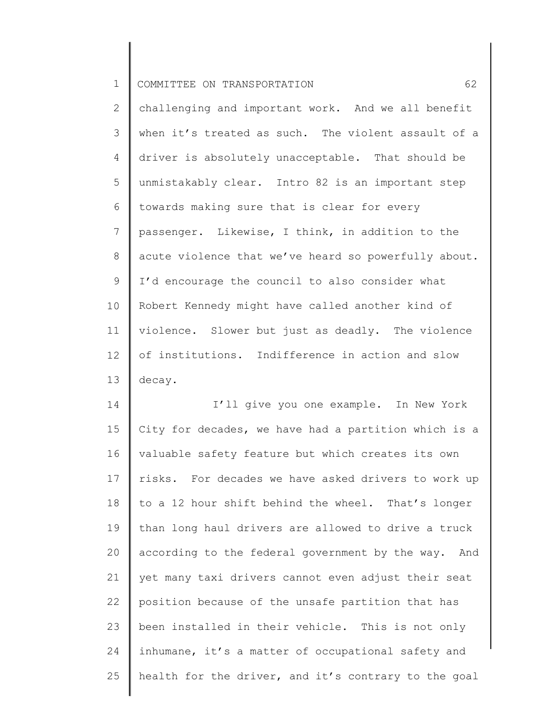2 3 4 5 6 7 8 9 10 11 12 13 challenging and important work. And we all benefit when it's treated as such. The violent assault of a driver is absolutely unacceptable. That should be unmistakably clear. Intro 82 is an important step towards making sure that is clear for every passenger. Likewise, I think, in addition to the acute violence that we've heard so powerfully about. I'd encourage the council to also consider what Robert Kennedy might have called another kind of violence. Slower but just as deadly. The violence of institutions. Indifference in action and slow decay.

14 15 16 17 18 19 20 21 22 23 24 25 I'll give you one example. In New York City for decades, we have had a partition which is a valuable safety feature but which creates its own risks. For decades we have asked drivers to work up to a 12 hour shift behind the wheel. That's longer than long haul drivers are allowed to drive a truck according to the federal government by the way. And yet many taxi drivers cannot even adjust their seat position because of the unsafe partition that has been installed in their vehicle. This is not only inhumane, it's a matter of occupational safety and health for the driver, and it's contrary to the goal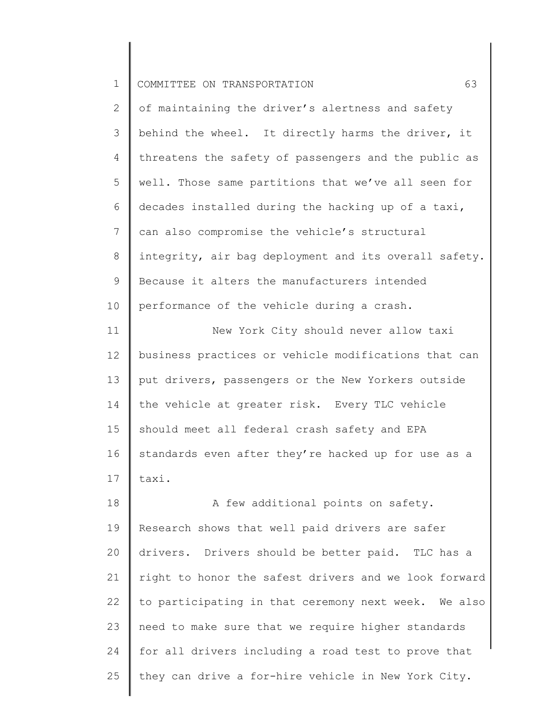| ᅩ |  | COMMITTEE ON TRANSPORTATION |  |
|---|--|-----------------------------|--|
|---|--|-----------------------------|--|

2 3 4 5 6 7 8 9 10 of maintaining the driver's alertness and safety behind the wheel. It directly harms the driver, it threatens the safety of passengers and the public as well. Those same partitions that we've all seen for decades installed during the hacking up of a taxi, can also compromise the vehicle's structural integrity, air bag deployment and its overall safety. Because it alters the manufacturers intended performance of the vehicle during a crash.

11 12 13 14 15 16 17 New York City should never allow taxi business practices or vehicle modifications that can put drivers, passengers or the New Yorkers outside the vehicle at greater risk. Every TLC vehicle should meet all federal crash safety and EPA standards even after they're hacked up for use as a taxi.

18 19 20 21 22 23 24 25 A few additional points on safety. Research shows that well paid drivers are safer drivers. Drivers should be better paid. TLC has a right to honor the safest drivers and we look forward to participating in that ceremony next week. We also need to make sure that we require higher standards for all drivers including a road test to prove that they can drive a for-hire vehicle in New York City.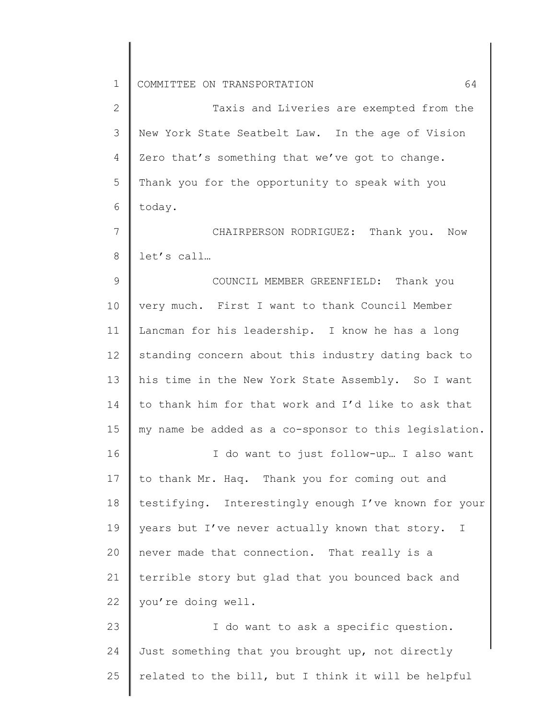2 3 4 5 6 7 8 Taxis and Liveries are exempted from the New York State Seatbelt Law. In the age of Vision Zero that's something that we've got to change. Thank you for the opportunity to speak with you today. CHAIRPERSON RODRIGUEZ: Thank you. Now let's call…

9 10 11 12 13 14 15 16 COUNCIL MEMBER GREENFIELD: Thank you very much. First I want to thank Council Member Lancman for his leadership. I know he has a long standing concern about this industry dating back to his time in the New York State Assembly. So I want to thank him for that work and I'd like to ask that my name be added as a co-sponsor to this legislation. I do want to just follow-up… I also want

17 18 19 20 21 22 to thank Mr. Haq. Thank you for coming out and testifying. Interestingly enough I've known for your years but I've never actually known that story. I never made that connection. That really is a terrible story but glad that you bounced back and you're doing well.

23 24 25 I do want to ask a specific question. Just something that you brought up, not directly related to the bill, but I think it will be helpful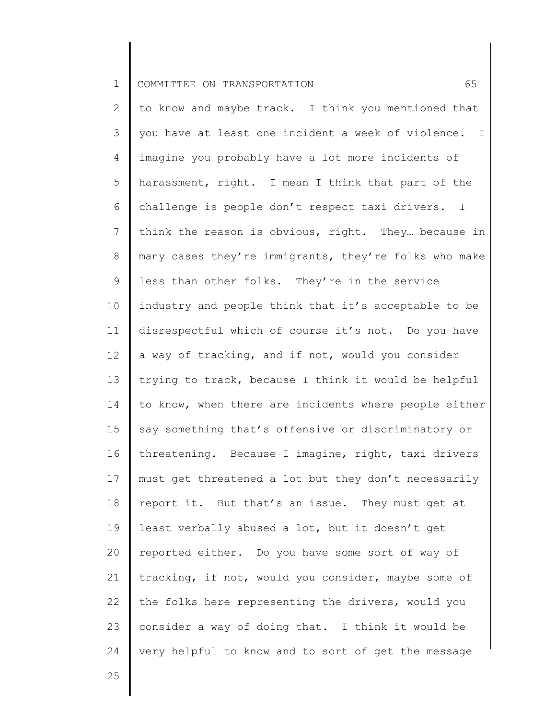2 3 4 5 6 7 8 9 10 11 12 13 14 15 16 17 18 19 20 21 22 23 24 to know and maybe track. I think you mentioned that you have at least one incident a week of violence. I imagine you probably have a lot more incidents of harassment, right. I mean I think that part of the challenge is people don't respect taxi drivers. I think the reason is obvious, right. They… because in many cases they're immigrants, they're folks who make less than other folks. They're in the service industry and people think that it's acceptable to be disrespectful which of course it's not. Do you have a way of tracking, and if not, would you consider trying to track, because I think it would be helpful to know, when there are incidents where people either say something that's offensive or discriminatory or threatening. Because I imagine, right, taxi drivers must get threatened a lot but they don't necessarily report it. But that's an issue. They must get at least verbally abused a lot, but it doesn't get reported either. Do you have some sort of way of tracking, if not, would you consider, maybe some of the folks here representing the drivers, would you consider a way of doing that. I think it would be very helpful to know and to sort of get the message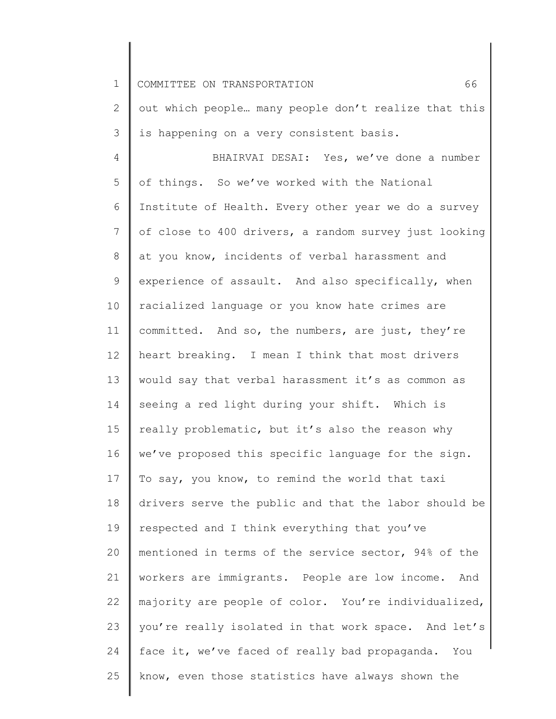1 2 3 4 5 6 7 8 9 10 11 12 13 14 15 16 17 18 19 20 21 22 23 24 25 COMMITTEE ON TRANSPORTATION 66 out which people… many people don't realize that this is happening on a very consistent basis. BHAIRVAI DESAI: Yes, we've done a number of things. So we've worked with the National Institute of Health. Every other year we do a survey of close to 400 drivers, a random survey just looking at you know, incidents of verbal harassment and experience of assault. And also specifically, when racialized language or you know hate crimes are committed. And so, the numbers, are just, they're heart breaking. I mean I think that most drivers would say that verbal harassment it's as common as seeing a red light during your shift. Which is really problematic, but it's also the reason why we've proposed this specific language for the sign. To say, you know, to remind the world that taxi drivers serve the public and that the labor should be respected and I think everything that you've mentioned in terms of the service sector, 94% of the workers are immigrants. People are low income. And majority are people of color. You're individualized, you're really isolated in that work space. And let's face it, we've faced of really bad propaganda. You know, even those statistics have always shown the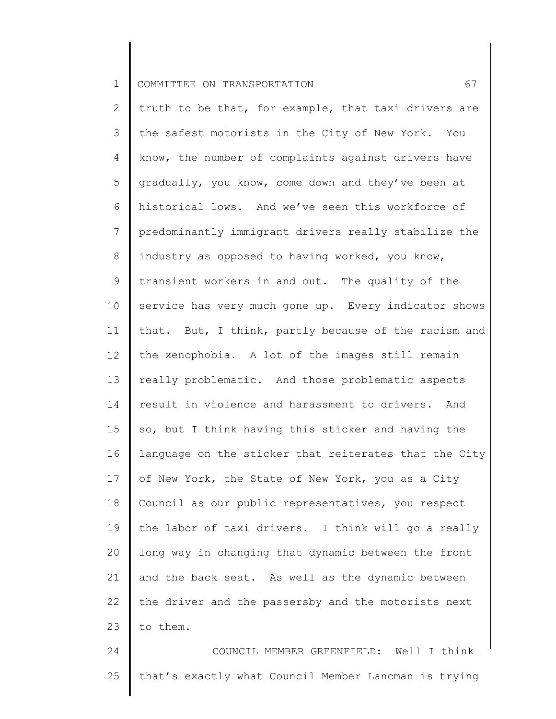2 3 4 5 6 7 8 9 10 11 12 13 14 15 16 17 18 19 20 21 22 23 truth to be that, for example, that taxi drivers are the safest motorists in the City of New York. You know, the number of complaints against drivers have gradually, you know, come down and they've been at historical lows. And we've seen this workforce of predominantly immigrant drivers really stabilize the industry as opposed to having worked, you know, transient workers in and out. The quality of the service has very much gone up. Every indicator shows that. But, I think, partly because of the racism and the xenophobia. A lot of the images still remain really problematic. And those problematic aspects result in violence and harassment to drivers. And so, but I think having this sticker and having the language on the sticker that reiterates that the City of New York, the State of New York, you as a City Council as our public representatives, you respect the labor of taxi drivers. I think will go a really long way in changing that dynamic between the front and the back seat. As well as the dynamic between the driver and the passersby and the motorists next to them.

24 25 COUNCIL MEMBER GREENFIELD: Well I think that's exactly what Council Member Lancman is trying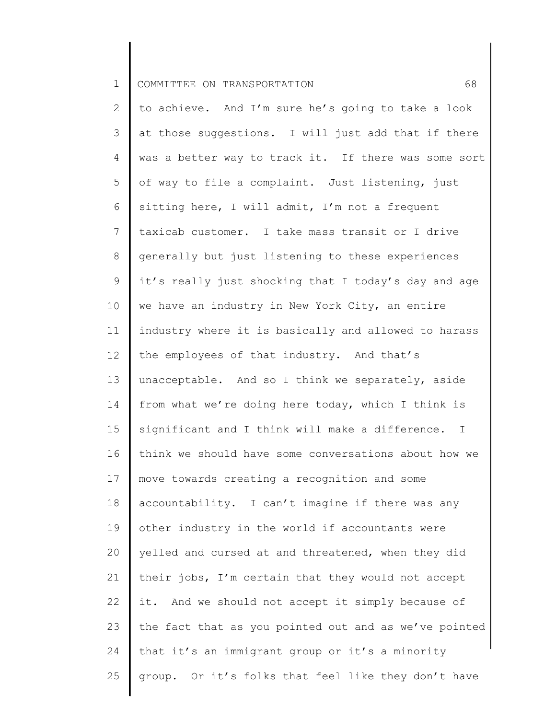2 3 4 5 6 7 8 9 10 11 12 13 14 15 16 17 18 19 20 21 22 23 24 25 to achieve. And I'm sure he's going to take a look at those suggestions. I will just add that if there was a better way to track it. If there was some sort of way to file a complaint. Just listening, just sitting here, I will admit, I'm not a frequent taxicab customer. I take mass transit or I drive generally but just listening to these experiences it's really just shocking that I today's day and age we have an industry in New York City, an entire industry where it is basically and allowed to harass the employees of that industry. And that's unacceptable. And so I think we separately, aside from what we're doing here today, which I think is significant and I think will make a difference. I think we should have some conversations about how we move towards creating a recognition and some accountability. I can't imagine if there was any other industry in the world if accountants were yelled and cursed at and threatened, when they did their jobs, I'm certain that they would not accept it. And we should not accept it simply because of the fact that as you pointed out and as we've pointed that it's an immigrant group or it's a minority group. Or it's folks that feel like they don't have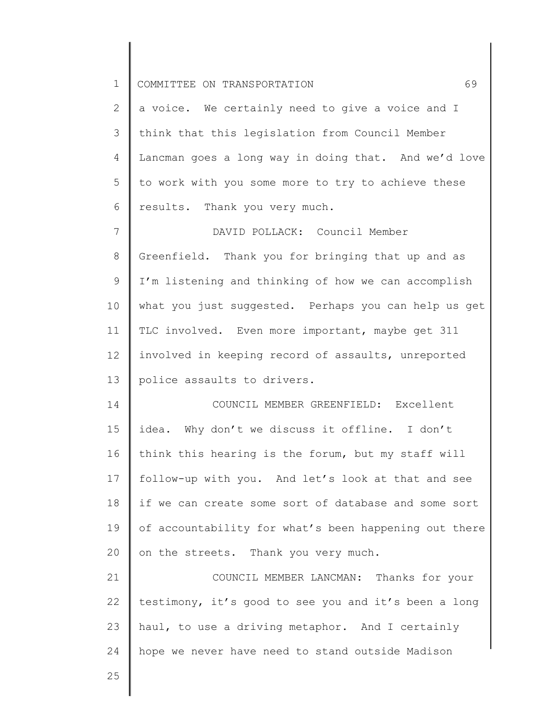| $\mathbf 1$    | 69<br>COMMITTEE ON TRANSPORTATION                     |
|----------------|-------------------------------------------------------|
| 2              | a voice. We certainly need to give a voice and I      |
| 3              | think that this legislation from Council Member       |
| 4              | Lancman goes a long way in doing that. And we'd love  |
| 5              | to work with you some more to try to achieve these    |
| 6              | results. Thank you very much.                         |
| $7\phantom{.}$ | DAVID POLLACK: Council Member                         |
| 8              | Greenfield. Thank you for bringing that up and as     |
| $\mathsf 9$    | I'm listening and thinking of how we can accomplish   |
| 10             | what you just suggested. Perhaps you can help us get  |
| 11             | TLC involved. Even more important, maybe get 311      |
| 12             | involved in keeping record of assaults, unreported    |
| 13             | police assaults to drivers.                           |
| 14             | COUNCIL MEMBER GREENFIELD: Excellent                  |
| 15             | idea. Why don't we discuss it offline. I don't        |
| 16             | think this hearing is the forum, but my staff will    |
| 17             | follow-up with you. And let's look at that and see    |
| 18             | if we can create some sort of database and some sort  |
| 19             | of accountability for what's been happening out there |
| 20             | on the streets. Thank you very much.                  |
| 21             | COUNCIL MEMBER LANCMAN: Thanks for your               |
| 22             | testimony, it's good to see you and it's been a long  |
| 23             | haul, to use a driving metaphor. And I certainly      |
| 24             | hope we never have need to stand outside Madison      |
| 25             |                                                       |
|                |                                                       |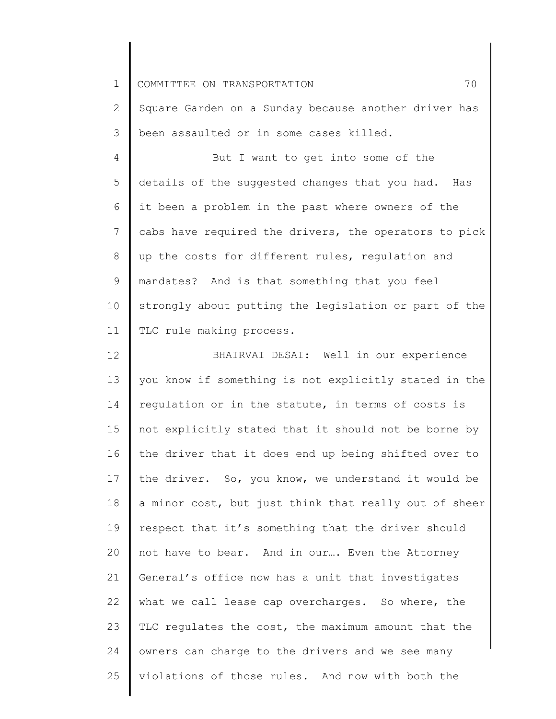2 3 Square Garden on a Sunday because another driver has been assaulted or in some cases killed.

4 5 6 7 8 9 10 11 But I want to get into some of the details of the suggested changes that you had. Has it been a problem in the past where owners of the cabs have required the drivers, the operators to pick up the costs for different rules, regulation and mandates? And is that something that you feel strongly about putting the legislation or part of the TLC rule making process.

12 13 14 15 16 17 18 19 20 21 22 23 24 25 BHAIRVAI DESAI: Well in our experience you know if something is not explicitly stated in the regulation or in the statute, in terms of costs is not explicitly stated that it should not be borne by the driver that it does end up being shifted over to the driver. So, you know, we understand it would be a minor cost, but just think that really out of sheer respect that it's something that the driver should not have to bear. And in our…. Even the Attorney General's office now has a unit that investigates what we call lease cap overcharges. So where, the TLC regulates the cost, the maximum amount that the owners can charge to the drivers and we see many violations of those rules. And now with both the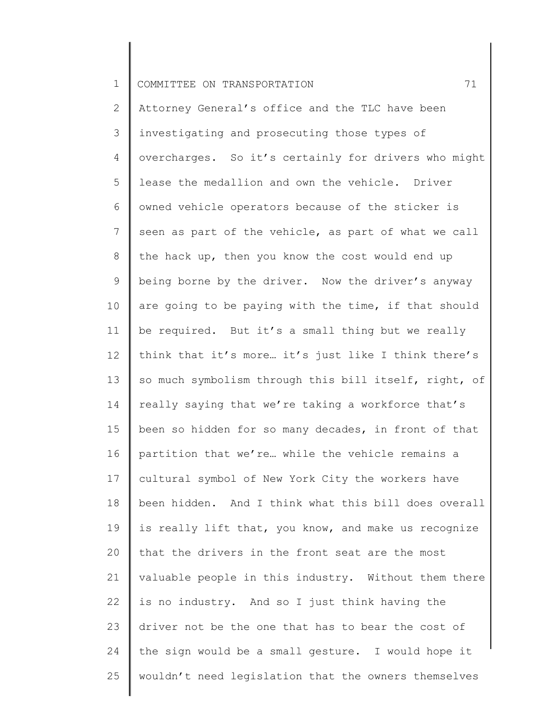2 3 4 5 6 7 8 9 10 11 12 13 14 15 16 17 18 19 20 21 22 23 24 25 Attorney General's office and the TLC have been investigating and prosecuting those types of overcharges. So it's certainly for drivers who might lease the medallion and own the vehicle. Driver owned vehicle operators because of the sticker is seen as part of the vehicle, as part of what we call the hack up, then you know the cost would end up being borne by the driver. Now the driver's anyway are going to be paying with the time, if that should be required. But it's a small thing but we really think that it's more… it's just like I think there's so much symbolism through this bill itself, right, of really saying that we're taking a workforce that's been so hidden for so many decades, in front of that partition that we're… while the vehicle remains a cultural symbol of New York City the workers have been hidden. And I think what this bill does overall is really lift that, you know, and make us recognize that the drivers in the front seat are the most valuable people in this industry. Without them there is no industry. And so I just think having the driver not be the one that has to bear the cost of the sign would be a small gesture. I would hope it wouldn't need legislation that the owners themselves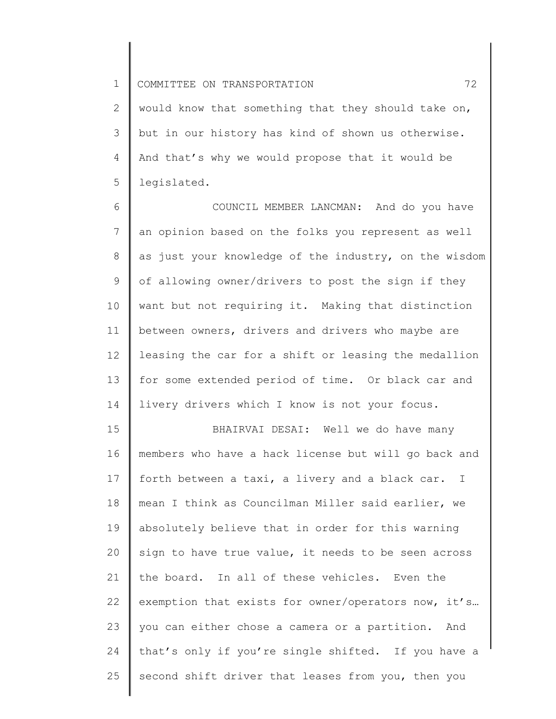2 3 4 5 would know that something that they should take on, but in our history has kind of shown us otherwise. And that's why we would propose that it would be legislated.

6 7 8 9 10 11 12 13 14 COUNCIL MEMBER LANCMAN: And do you have an opinion based on the folks you represent as well as just your knowledge of the industry, on the wisdom of allowing owner/drivers to post the sign if they want but not requiring it. Making that distinction between owners, drivers and drivers who maybe are leasing the car for a shift or leasing the medallion for some extended period of time. Or black car and livery drivers which I know is not your focus.

15 16 17 18 19 20 21 22 23 24 25 BHAIRVAI DESAI: Well we do have many members who have a hack license but will go back and forth between a taxi, a livery and a black car. I mean I think as Councilman Miller said earlier, we absolutely believe that in order for this warning sign to have true value, it needs to be seen across the board. In all of these vehicles. Even the exemption that exists for owner/operators now, it's… you can either chose a camera or a partition. And that's only if you're single shifted. If you have a second shift driver that leases from you, then you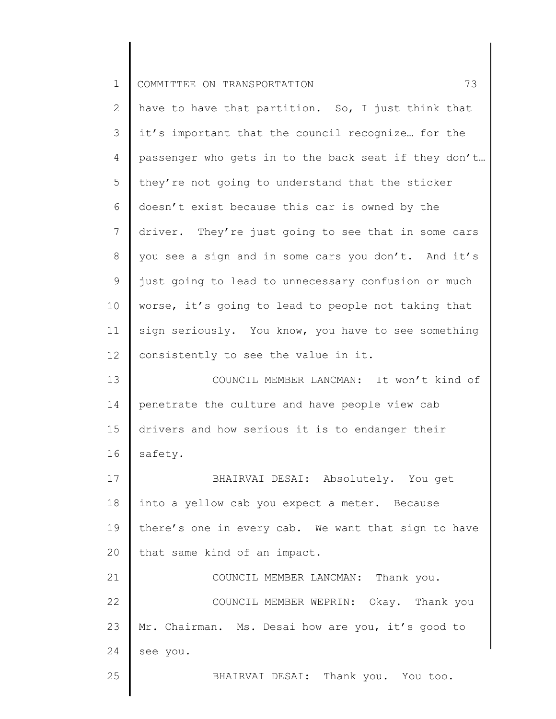| $\mathbf 1$    | 73<br>COMMITTEE ON TRANSPORTATION                    |
|----------------|------------------------------------------------------|
| $\mathbf{2}$   | have to have that partition. So, I just think that   |
| 3              | it's important that the council recognize for the    |
| 4              | passenger who gets in to the back seat if they don't |
| 5              | they're not going to understand that the sticker     |
| 6              | doesn't exist because this car is owned by the       |
| $\overline{7}$ | driver. They're just going to see that in some cars  |
| 8              | you see a sign and in some cars you don't. And it's  |
| 9              | just going to lead to unnecessary confusion or much  |
| 10             | worse, it's going to lead to people not taking that  |
| 11             | sign seriously. You know, you have to see something  |
| 12             | consistently to see the value in it.                 |
| 13             | COUNCIL MEMBER LANCMAN: It won't kind of             |
| 14             | penetrate the culture and have people view cab       |
| 15             | drivers and how serious it is to endanger their      |
| 16             | safety.                                              |
| 17             | BHAIRVAI DESAI: Absolutely. You get                  |
| 18             | into a yellow cab you expect a meter. Because        |
| 19             | there's one in every cab. We want that sign to have  |
| 20             | that same kind of an impact.                         |
| 21             | COUNCIL MEMBER LANCMAN: Thank you.                   |
| 22             | COUNCIL MEMBER WEPRIN: Okay. Thank you               |
| 23             | Mr. Chairman. Ms. Desai how are you, it's good to    |
| 24             | see you.                                             |
| 25             | BHAIRVAI DESAI: Thank you. You too.                  |

║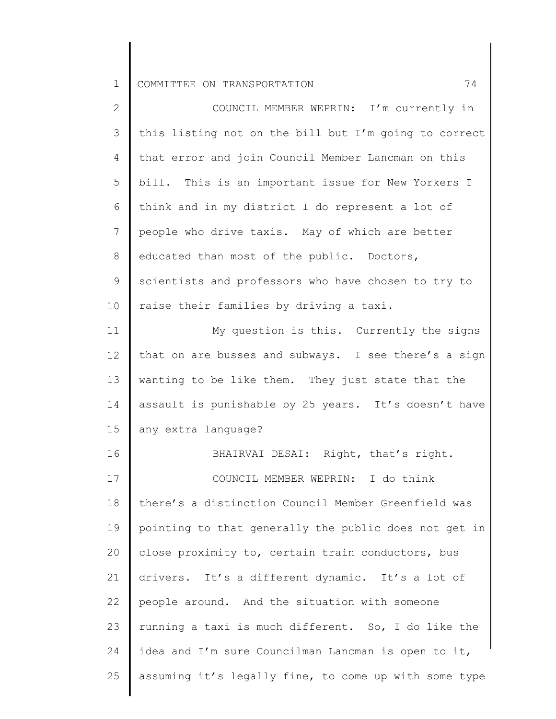1 COMMITTEE ON TRANSPORTATION 74

| $\overline{2}$ | COUNCIL MEMBER WEPRIN: I'm currently in               |
|----------------|-------------------------------------------------------|
| 3              | this listing not on the bill but I'm going to correct |
| 4              | that error and join Council Member Lancman on this    |
| 5              | bill. This is an important issue for New Yorkers I    |
| 6              | think and in my district I do represent a lot of      |
| $7\phantom{.}$ | people who drive taxis. May of which are better       |
| 8              | educated than most of the public. Doctors,            |
| 9              | scientists and professors who have chosen to try to   |
| 10             | raise their families by driving a taxi.               |
| 11             | My question is this. Currently the signs              |
| 12             | that on are busses and subways. I see there's a sign  |
| 13             | wanting to be like them. They just state that the     |
| 14             | assault is punishable by 25 years. It's doesn't have  |
| 15             | any extra language?                                   |
| 16             | BHAIRVAI DESAI: Right, that's right.                  |
| 17             | COUNCIL MEMBER WEPRIN: I do think                     |
| 18             | there's a distinction Council Member Greenfield was   |
| 19             | pointing to that generally the public does not get in |
| 20             | close proximity to, certain train conductors, bus     |
| 21             | drivers. It's a different dynamic. It's a lot of      |
| 22             | people around. And the situation with someone         |
| 23             | running a taxi is much different. So, I do like the   |
| 24             | idea and I'm sure Councilman Lancman is open to it,   |
| 25             | assuming it's legally fine, to come up with some type |
|                |                                                       |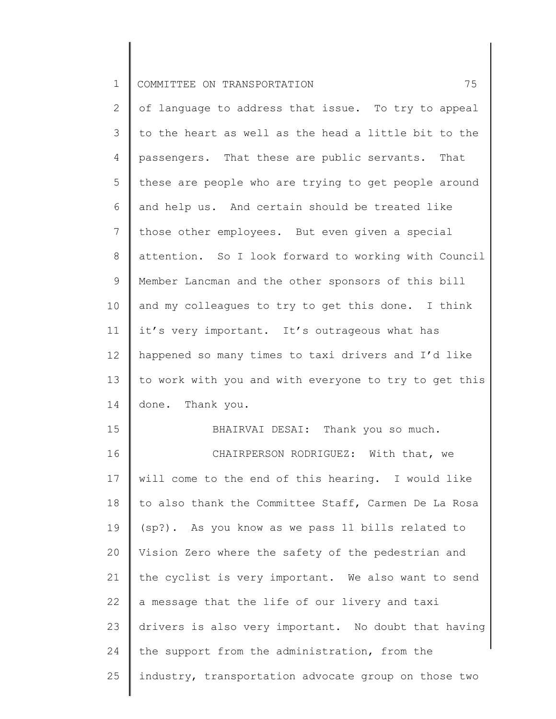1 COMMITTEE ON TRANSPORTATION 75

2 3 4 5 6 7 8 9 10 11 12 13 14 15 16 17 18 19 20 21 22 of language to address that issue. To try to appeal to the heart as well as the head a little bit to the passengers. That these are public servants. That these are people who are trying to get people around and help us. And certain should be treated like those other employees. But even given a special attention. So I look forward to working with Council Member Lancman and the other sponsors of this bill and my colleagues to try to get this done. I think it's very important. It's outrageous what has happened so many times to taxi drivers and I'd like to work with you and with everyone to try to get this done. Thank you. BHAIRVAI DESAI: Thank you so much. CHAIRPERSON RODRIGUEZ: With that, we will come to the end of this hearing. I would like to also thank the Committee Staff, Carmen De La Rosa (sp?)**.** As you know as we pass 11 bills related to Vision Zero where the safety of the pedestrian and the cyclist is very important. We also want to send a message that the life of our livery and taxi

23 24 drivers is also very important. No doubt that having the support from the administration, from the

25 industry, transportation advocate group on those two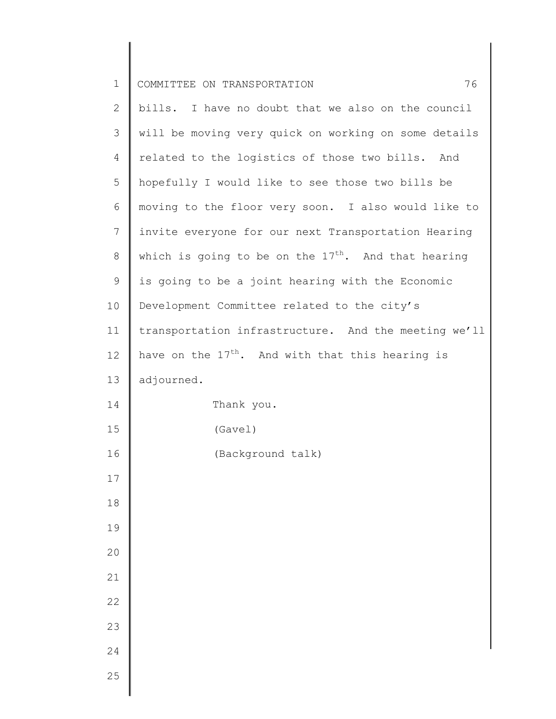| $\mathbf 1$    | 76<br>COMMITTEE ON TRANSPORTATION                     |
|----------------|-------------------------------------------------------|
| 2              | bills. I have no doubt that we also on the council    |
| 3              | will be moving very quick on working on some details  |
| $\overline{4}$ | related to the logistics of those two bills. And      |
| 5              | hopefully I would like to see those two bills be      |
| 6              | moving to the floor very soon. I also would like to   |
| $7\phantom{.}$ | invite everyone for our next Transportation Hearing   |
| 8              | which is going to be on the $17th$ . And that hearing |
| 9              | is going to be a joint hearing with the Economic      |
| 10             | Development Committee related to the city's           |
| 11             | transportation infrastructure. And the meeting we'll  |
| 12             | have on the $17th$ . And with that this hearing is    |
| 13             | adjourned.                                            |
| 14             | Thank you.                                            |
| 15             | (Gave1)                                               |
| 16             | (Background talk)                                     |
| 17             |                                                       |
| 18             |                                                       |
| 19             |                                                       |
| 20             |                                                       |
| 21             |                                                       |
| 22             |                                                       |
| 23             |                                                       |
| 24             |                                                       |
| 25             |                                                       |